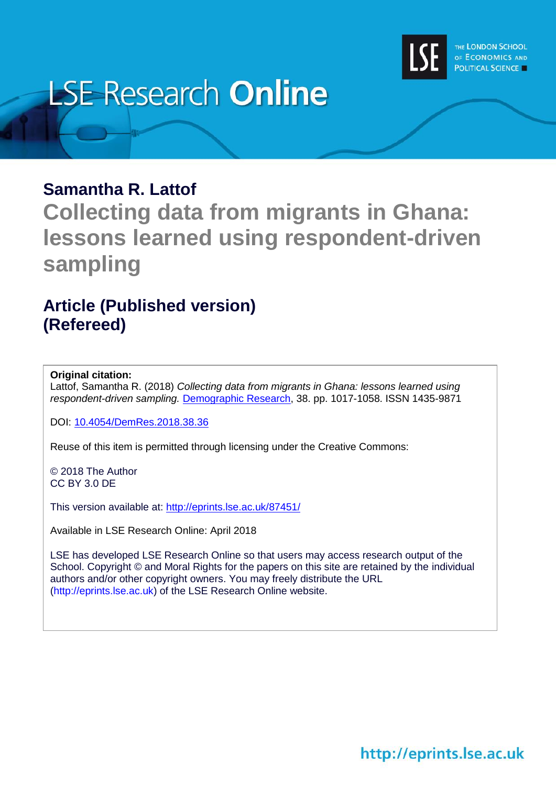

# **LSE Research Online**

## **Samantha R. Lattof**

**Collecting data from migrants in Ghana: lessons learned using respondent-driven sampling**

# **Article (Published version) (Refereed)**

## **Original citation:**

Lattof, Samantha R. (2018) *Collecting data from migrants in Ghana: lessons learned using respondent-driven sampling.* [Demographic Research,](https://www.demographic-research.org/default.htm) 38. pp. 1017-1058. ISSN 1435-9871

DOI: [10.4054/DemRes.2018.38.36](http://doi.org/10.4054/DemRes.2018.38.36)

Reuse of this item is permitted through licensing under the Creative Commons:

© 2018 The Author CC BY 3.0 DE

This version available at:<http://eprints.lse.ac.uk/87451/>

Available in LSE Research Online: April 2018

LSE has developed LSE Research Online so that users may access research output of the School. Copyright © and Moral Rights for the papers on this site are retained by the individual authors and/or other copyright owners. You may freely distribute the URL (http://eprints.lse.ac.uk) of the LSE Research Online website.

http://eprints.lse.ac.uk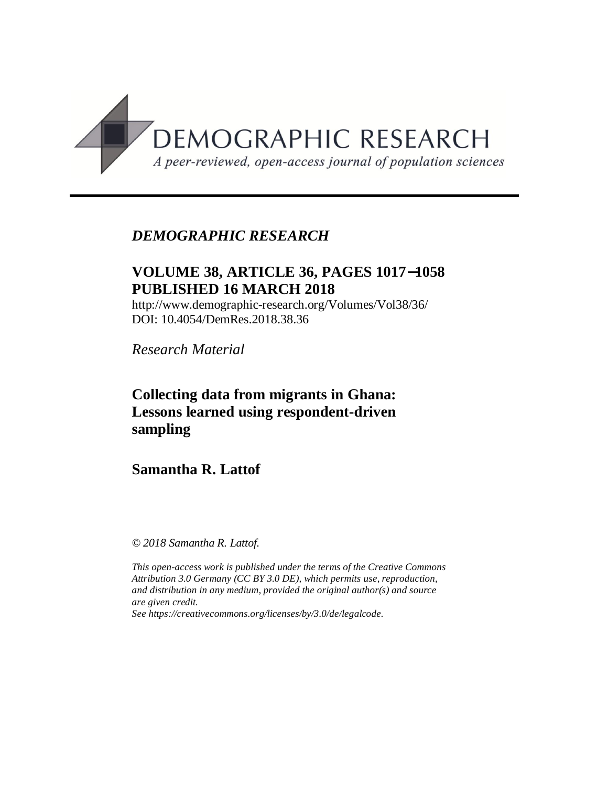

## *DEMOGRAPHIC RESEARCH*

## **VOLUME 38, ARTICLE 36, PAGES 1017**-**1058 PUBLISHED 16 MARCH 2018**

http://www.demographic-research.org/Volumes/Vol38/36/ DOI: 10.4054/DemRes.2018.38.36

*Research Material*

## **Collecting data from migrants in Ghana: Lessons learned using respondent-driven sampling**

## **Samantha R. Lattof**

*© 2018 Samantha R. Lattof.*

*This open-access work is published under the terms of the Creative Commons Attribution 3.0 Germany (CC BY 3.0 DE), which permits use, reproduction, and distribution in any medium, provided the original author(s) and source are given credit.*

*See [https://creativecommons.org/licenses/by/3.0/de/legalcode.](https://creativecommons.org/licenses/by/3.0/de/legalcode)*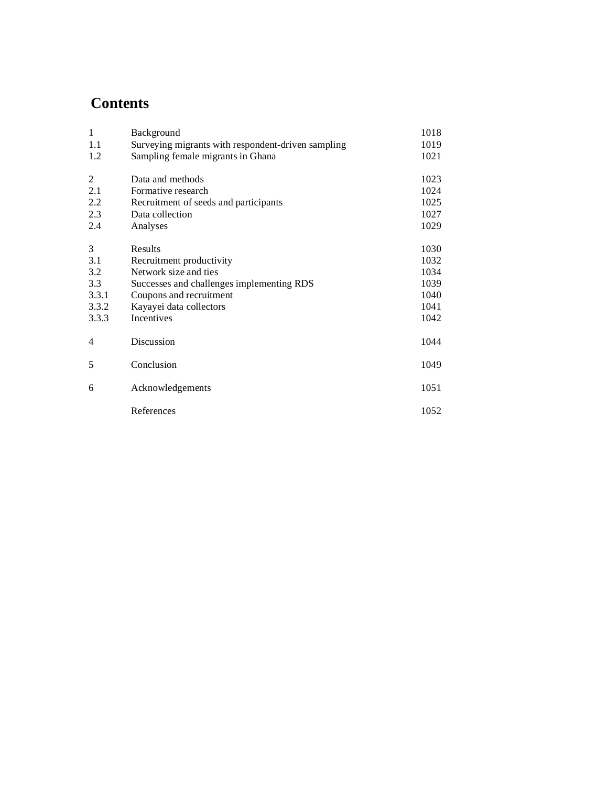## **Contents**

| $\mathbf{1}$   | Background                                         | 1018 |
|----------------|----------------------------------------------------|------|
| 1.1            | Surveying migrants with respondent-driven sampling | 1019 |
| 1.2            | Sampling female migrants in Ghana                  | 1021 |
| 2              | Data and methods                                   | 1023 |
| 2.1            | Formative research                                 | 1024 |
| 2.2            | Recruitment of seeds and participants              | 1025 |
| 2.3            | Data collection                                    | 1027 |
| 2.4            | Analyses                                           | 1029 |
| 3              | Results                                            | 1030 |
| 3.1            | Recruitment productivity                           | 1032 |
| 3.2            | Network size and ties                              | 1034 |
| 3.3            | Successes and challenges implementing RDS          | 1039 |
| 3.3.1          | Coupons and recruitment                            | 1040 |
| 3.3.2          | Kayayei data collectors                            | 1041 |
| 3.3.3          | Incentives                                         | 1042 |
| $\overline{4}$ | Discussion                                         | 1044 |
| 5              | Conclusion                                         | 1049 |
| 6              | Acknowledgements                                   | 1051 |
|                | References                                         | 1052 |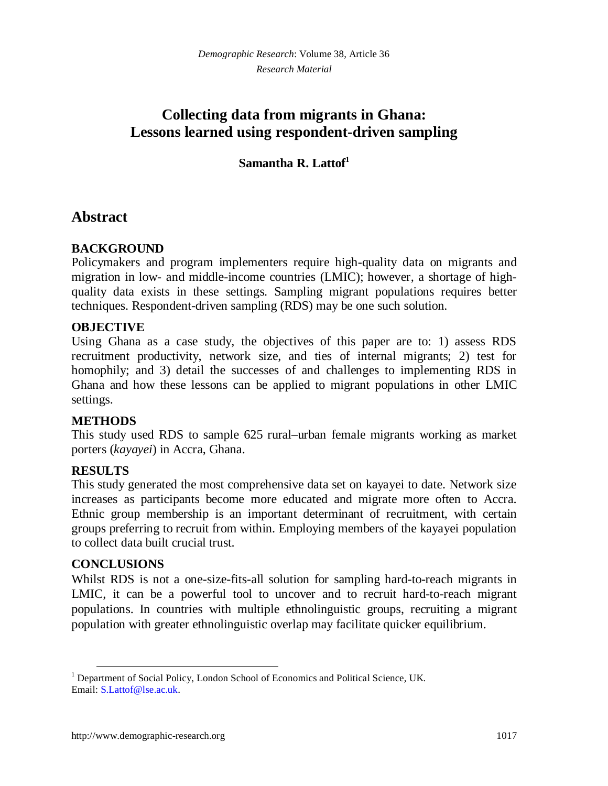## **Collecting data from migrants in Ghana: Lessons learned using respondent-driven sampling**

## **Samantha R. Lattof[1](#page-3-0)**

## **Abstract**

#### **BACKGROUND**

Policymakers and program implementers require high-quality data on migrants and migration in low- and middle-income countries (LMIC); however, a shortage of highquality data exists in these settings. Sampling migrant populations requires better techniques. Respondent-driven sampling (RDS) may be one such solution.

#### **OBJECTIVE**

Using Ghana as a case study, the objectives of this paper are to: 1) assess RDS recruitment productivity, network size, and ties of internal migrants; 2) test for homophily; and 3) detail the successes of and challenges to implementing RDS in Ghana and how these lessons can be applied to migrant populations in other LMIC settings.

#### **METHODS**

This study used RDS to sample 625 rural–urban female migrants working as market porters (*kayayei*) in Accra, Ghana.

#### **RESULTS**

This study generated the most comprehensive data set on kayayei to date. Network size increases as participants become more educated and migrate more often to Accra. Ethnic group membership is an important determinant of recruitment, with certain groups preferring to recruit from within. Employing members of the kayayei population to collect data built crucial trust.

#### **CONCLUSIONS**

Whilst RDS is not a one-size-fits-all solution for sampling hard-to-reach migrants in LMIC, it can be a powerful tool to uncover and to recruit hard-to-reach migrant populations. In countries with multiple ethnolinguistic groups, recruiting a migrant population with greater ethnolinguistic overlap may facilitate quicker equilibrium.

<span id="page-3-0"></span><sup>&</sup>lt;sup>1</sup> Department of Social Policy, London School of Economics and Political Science, UK. Email: [S.Lattof@lse.ac.uk.](mailto:S.Lattof@lse.ac.uk)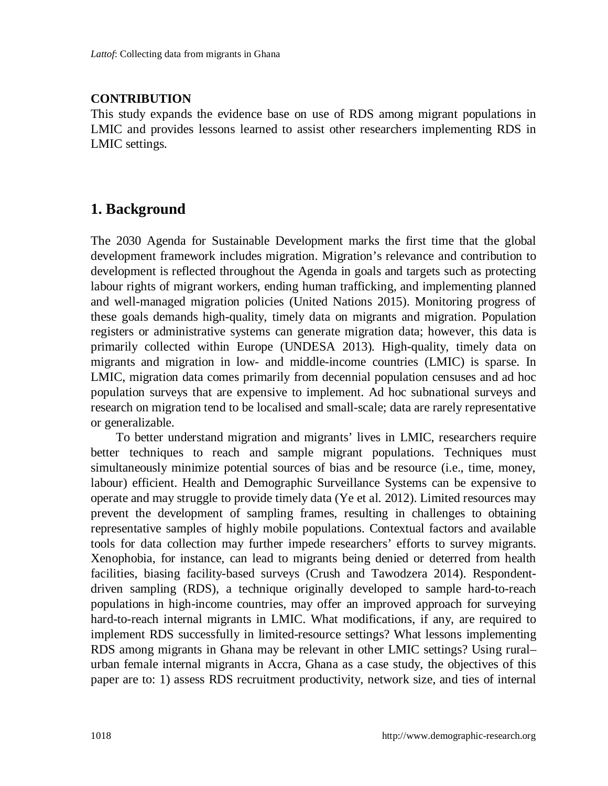#### **CONTRIBUTION**

This study expands the evidence base on use of RDS among migrant populations in LMIC and provides lessons learned to assist other researchers implementing RDS in LMIC settings.

## **1. Background**

The 2030 Agenda for Sustainable Development marks the first time that the global development framework includes migration. Migration's relevance and contribution to development is reflected throughout the Agenda in goals and targets such as protecting labour rights of migrant workers, ending human trafficking, and implementing planned and well-managed migration policies (United Nations 2015). Monitoring progress of these goals demands high-quality, timely data on migrants and migration. Population registers or administrative systems can generate migration data; however, this data is primarily collected within Europe (UNDESA 2013). High-quality, timely data on migrants and migration in low- and middle-income countries (LMIC) is sparse. In LMIC, migration data comes primarily from decennial population censuses and ad hoc population surveys that are expensive to implement. Ad hoc subnational surveys and research on migration tend to be localised and small-scale; data are rarely representative or generalizable.

To better understand migration and migrants' lives in LMIC, researchers require better techniques to reach and sample migrant populations. Techniques must simultaneously minimize potential sources of bias and be resource (i.e., time, money, labour) efficient. Health and Demographic Surveillance Systems can be expensive to operate and may struggle to provide timely data (Ye et al. 2012). Limited resources may prevent the development of sampling frames, resulting in challenges to obtaining representative samples of highly mobile populations. Contextual factors and available tools for data collection may further impede researchers' efforts to survey migrants. Xenophobia, for instance, can lead to migrants being denied or deterred from health facilities, biasing facility-based surveys (Crush and Tawodzera 2014). Respondentdriven sampling (RDS), a technique originally developed to sample hard-to-reach populations in high-income countries, may offer an improved approach for surveying hard-to-reach internal migrants in LMIC. What modifications, if any, are required to implement RDS successfully in limited-resource settings? What lessons implementing RDS among migrants in Ghana may be relevant in other LMIC settings? Using rural– urban female internal migrants in Accra, Ghana as a case study, the objectives of this paper are to: 1) assess RDS recruitment productivity, network size, and ties of internal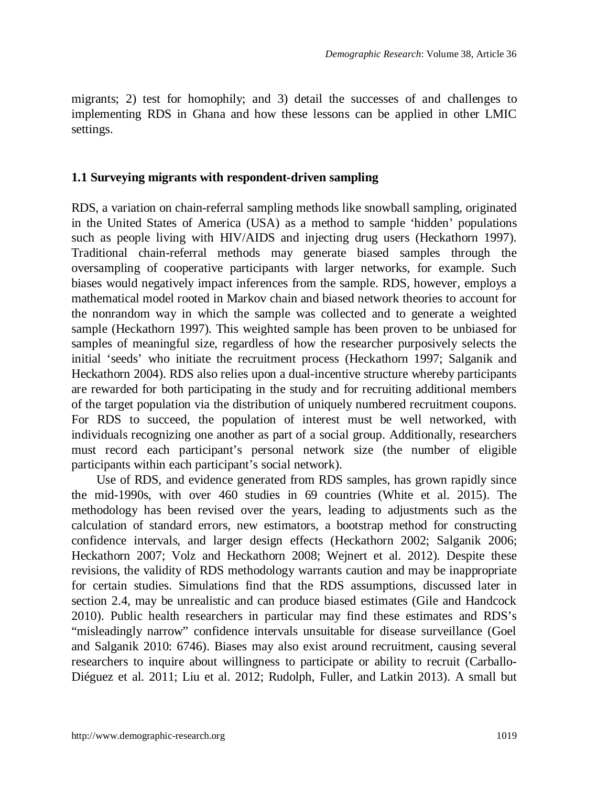migrants; 2) test for homophily; and 3) detail the successes of and challenges to implementing RDS in Ghana and how these lessons can be applied in other LMIC settings.

#### **1.1 Surveying migrants with respondent-driven sampling**

RDS, a variation on chain-referral sampling methods like snowball sampling, originated in the United States of America (USA) as a method to sample 'hidden' populations such as people living with HIV/AIDS and injecting drug users (Heckathorn 1997). Traditional chain-referral methods may generate biased samples through the oversampling of cooperative participants with larger networks, for example. Such biases would negatively impact inferences from the sample. RDS, however, employs a mathematical model rooted in Markov chain and biased network theories to account for the nonrandom way in which the sample was collected and to generate a weighted sample (Heckathorn 1997). This weighted sample has been proven to be unbiased for samples of meaningful size, regardless of how the researcher purposively selects the initial 'seeds' who initiate the recruitment process (Heckathorn 1997; Salganik and Heckathorn 2004). RDS also relies upon a dual-incentive structure whereby participants are rewarded for both participating in the study and for recruiting additional members of the target population via the distribution of uniquely numbered recruitment coupons. For RDS to succeed, the population of interest must be well networked, with individuals recognizing one another as part of a social group. Additionally, researchers must record each participant's personal network size (the number of eligible participants within each participant's social network).

Use of RDS, and evidence generated from RDS samples, has grown rapidly since the mid-1990s, with over 460 studies in 69 countries (White et al. 2015). The methodology has been revised over the years, leading to adjustments such as the calculation of standard errors, new estimators, a bootstrap method for constructing confidence intervals, and larger design effects (Heckathorn 2002; Salganik 2006; Heckathorn 2007; Volz and Heckathorn 2008; Wejnert et al. 2012). Despite these revisions, the validity of RDS methodology warrants caution and may be inappropriate for certain studies. Simulations find that the RDS assumptions, discussed later in section 2.4, may be unrealistic and can produce biased estimates (Gile and Handcock 2010). Public health researchers in particular may find these estimates and RDS's "misleadingly narrow" confidence intervals unsuitable for disease surveillance (Goel and Salganik 2010: 6746). Biases may also exist around recruitment, causing several researchers to inquire about willingness to participate or ability to recruit (Carballo-Diéguez et al. 2011; Liu et al. 2012; Rudolph, Fuller, and Latkin 2013). A small but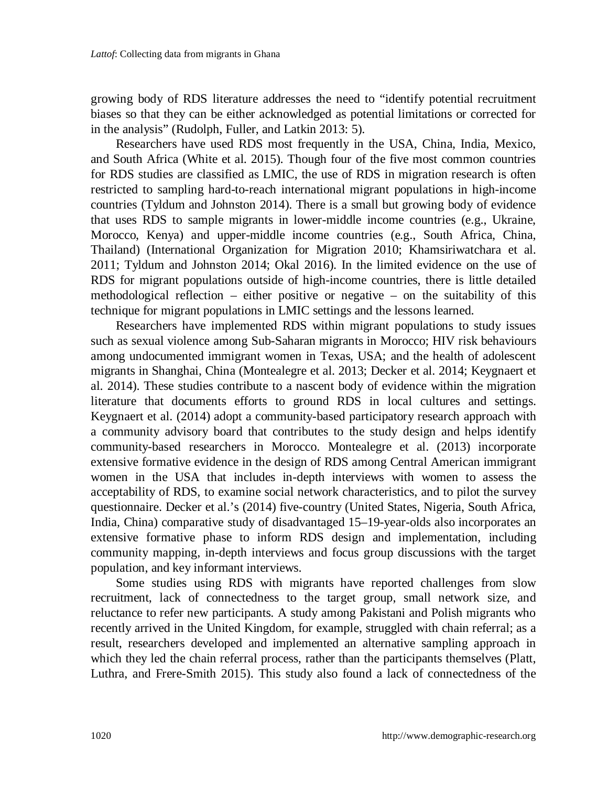growing body of RDS literature addresses the need to "identify potential recruitment biases so that they can be either acknowledged as potential limitations or corrected for in the analysis" (Rudolph, Fuller, and Latkin 2013: 5).

Researchers have used RDS most frequently in the USA, China, India, Mexico, and South Africa (White et al. 2015). Though four of the five most common countries for RDS studies are classified as LMIC, the use of RDS in migration research is often restricted to sampling hard-to-reach international migrant populations in high-income countries (Tyldum and Johnston 2014). There is a small but growing body of evidence that uses RDS to sample migrants in lower-middle income countries (e.g., Ukraine, Morocco, Kenya) and upper-middle income countries (e.g., South Africa, China, Thailand) (International Organization for Migration 2010; Khamsiriwatchara et al. 2011; Tyldum and Johnston 2014; Okal 2016). In the limited evidence on the use of RDS for migrant populations outside of high-income countries, there is little detailed methodological reflection – either positive or negative – on the suitability of this technique for migrant populations in LMIC settings and the lessons learned.

Researchers have implemented RDS within migrant populations to study issues such as sexual violence among Sub-Saharan migrants in Morocco; HIV risk behaviours among undocumented immigrant women in Texas, USA; and the health of adolescent migrants in Shanghai, China (Montealegre et al. 2013; Decker et al. 2014; Keygnaert et al. 2014). These studies contribute to a nascent body of evidence within the migration literature that documents efforts to ground RDS in local cultures and settings. Keygnaert et al. (2014) adopt a community-based participatory research approach with a community advisory board that contributes to the study design and helps identify community-based researchers in Morocco. Montealegre et al. (2013) incorporate extensive formative evidence in the design of RDS among Central American immigrant women in the USA that includes in-depth interviews with women to assess the acceptability of RDS, to examine social network characteristics, and to pilot the survey questionnaire. Decker et al.'s (2014) five-country (United States, Nigeria, South Africa, India, China) comparative study of disadvantaged 15–19-year-olds also incorporates an extensive formative phase to inform RDS design and implementation, including community mapping, in-depth interviews and focus group discussions with the target population, and key informant interviews.

Some studies using RDS with migrants have reported challenges from slow recruitment, lack of connectedness to the target group, small network size, and reluctance to refer new participants. A study among Pakistani and Polish migrants who recently arrived in the United Kingdom, for example, struggled with chain referral; as a result, researchers developed and implemented an alternative sampling approach in which they led the chain referral process, rather than the participants themselves (Platt, Luthra, and Frere-Smith 2015). This study also found a lack of connectedness of the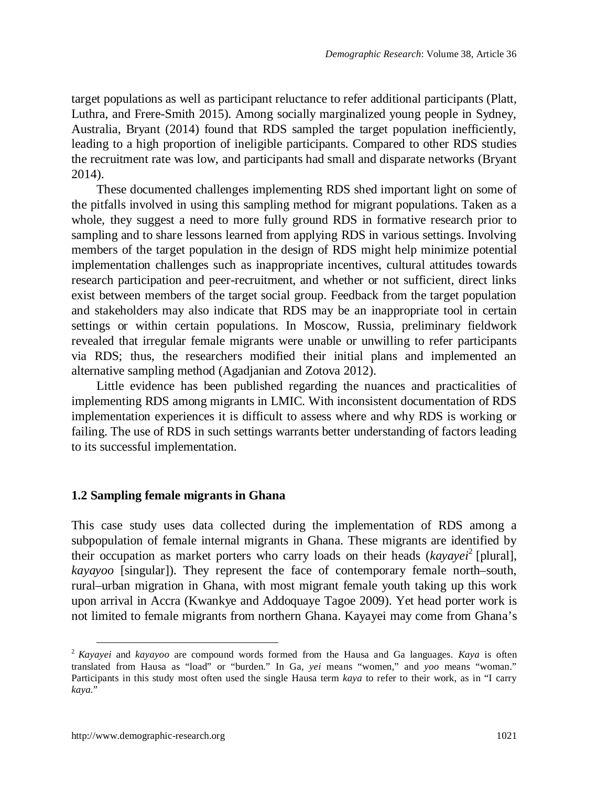target populations as well as participant reluctance to refer additional participants (Platt, Luthra, and Frere-Smith 2015). Among socially marginalized young people in Sydney, Australia, Bryant (2014) found that RDS sampled the target population inefficiently, leading to a high proportion of ineligible participants. Compared to other RDS studies the recruitment rate was low, and participants had small and disparate networks (Bryant 2014).

These documented challenges implementing RDS shed important light on some of the pitfalls involved in using this sampling method for migrant populations. Taken as a whole, they suggest a need to more fully ground RDS in formative research prior to sampling and to share lessons learned from applying RDS in various settings. Involving members of the target population in the design of RDS might help minimize potential implementation challenges such as inappropriate incentives, cultural attitudes towards research participation and peer-recruitment, and whether or not sufficient, direct links exist between members of the target social group. Feedback from the target population and stakeholders may also indicate that RDS may be an inappropriate tool in certain settings or within certain populations. In Moscow, Russia, preliminary fieldwork revealed that irregular female migrants were unable or unwilling to refer participants via RDS; thus, the researchers modified their initial plans and implemented an alternative sampling method (Agadjanian and Zotova 2012).

Little evidence has been published regarding the nuances and practicalities of implementing RDS among migrants in LMIC. With inconsistent documentation of RDS implementation experiences it is difficult to assess where and why RDS is working or failing. The use of RDS in such settings warrants better understanding of factors leading to its successful implementation.

#### **1.2 Sampling female migrants in Ghana**

This case study uses data collected during the implementation of RDS among a subpopulation of female internal migrants in Ghana. These migrants are identified by their occupation as market porters who carry loads on their heads (kayayei<sup>[2](#page-7-0)</sup> [plural], *kayayoo* [singular]). They represent the face of contemporary female north–south, rural–urban migration in Ghana, with most migrant female youth taking up this work upon arrival in Accra (Kwankye and Addoquaye Tagoe 2009). Yet head porter work is not limited to female migrants from northern Ghana. Kayayei may come from Ghana's

<span id="page-7-0"></span><sup>2</sup> *Kayayei* and *kayayoo* are compound words formed from the Hausa and Ga languages. *Kaya* is often translated from Hausa as "load" or "burden." In Ga, *yei* means "women," and *yoo* means "woman." Participants in this study most often used the single Hausa term *kaya* to refer to their work, as in "I carry *kaya.*"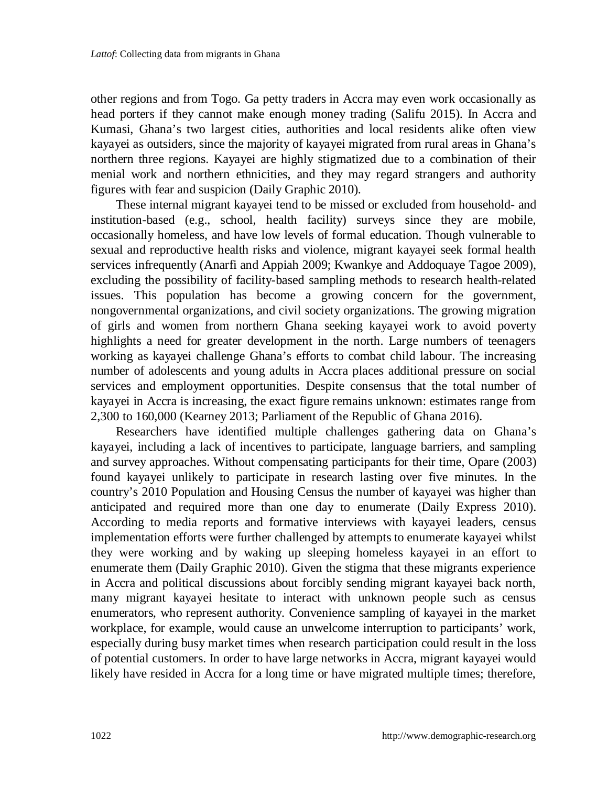other regions and from Togo. Ga petty traders in Accra may even work occasionally as head porters if they cannot make enough money trading (Salifu 2015). In Accra and Kumasi, Ghana's two largest cities, authorities and local residents alike often view kayayei as outsiders, since the majority of kayayei migrated from rural areas in Ghana's northern three regions. Kayayei are highly stigmatized due to a combination of their menial work and northern ethnicities, and they may regard strangers and authority figures with fear and suspicion (Daily Graphic 2010).

These internal migrant kayayei tend to be missed or excluded from household- and institution-based (e.g., school, health facility) surveys since they are mobile, occasionally homeless, and have low levels of formal education. Though vulnerable to sexual and reproductive health risks and violence, migrant kayayei seek formal health services infrequently (Anarfi and Appiah 2009; Kwankye and Addoquaye Tagoe 2009), excluding the possibility of facility-based sampling methods to research health-related issues. This population has become a growing concern for the government, nongovernmental organizations, and civil society organizations. The growing migration of girls and women from northern Ghana seeking kayayei work to avoid poverty highlights a need for greater development in the north. Large numbers of teenagers working as kayayei challenge Ghana's efforts to combat child labour. The increasing number of adolescents and young adults in Accra places additional pressure on social services and employment opportunities. Despite consensus that the total number of kayayei in Accra is increasing, the exact figure remains unknown: estimates range from 2,300 to 160,000 (Kearney 2013; Parliament of the Republic of Ghana 2016).

Researchers have identified multiple challenges gathering data on Ghana's kayayei, including a lack of incentives to participate, language barriers, and sampling and survey approaches. Without compensating participants for their time, Opare (2003) found kayayei unlikely to participate in research lasting over five minutes. In the country's 2010 Population and Housing Census the number of kayayei was higher than anticipated and required more than one day to enumerate (Daily Express 2010). According to media reports and formative interviews with kayayei leaders, census implementation efforts were further challenged by attempts to enumerate kayayei whilst they were working and by waking up sleeping homeless kayayei in an effort to enumerate them (Daily Graphic 2010). Given the stigma that these migrants experience in Accra and political discussions about forcibly sending migrant kayayei back north, many migrant kayayei hesitate to interact with unknown people such as census enumerators, who represent authority. Convenience sampling of kayayei in the market workplace, for example, would cause an unwelcome interruption to participants' work, especially during busy market times when research participation could result in the loss of potential customers. In order to have large networks in Accra, migrant kayayei would likely have resided in Accra for a long time or have migrated multiple times; therefore,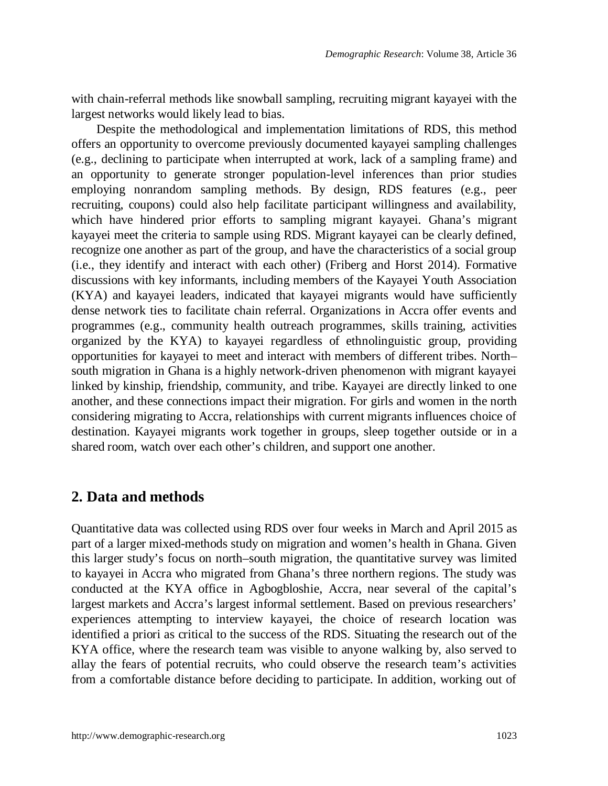with chain-referral methods like snowball sampling, recruiting migrant kayayei with the largest networks would likely lead to bias.

Despite the methodological and implementation limitations of RDS, this method offers an opportunity to overcome previously documented kayayei sampling challenges (e.g., declining to participate when interrupted at work, lack of a sampling frame) and an opportunity to generate stronger population-level inferences than prior studies employing nonrandom sampling methods. By design, RDS features (e.g., peer recruiting, coupons) could also help facilitate participant willingness and availability, which have hindered prior efforts to sampling migrant kayayei. Ghana's migrant kayayei meet the criteria to sample using RDS. Migrant kayayei can be clearly defined, recognize one another as part of the group, and have the characteristics of a social group (i.e., they identify and interact with each other) (Friberg and Horst 2014). Formative discussions with key informants, including members of the Kayayei Youth Association (KYA) and kayayei leaders, indicated that kayayei migrants would have sufficiently dense network ties to facilitate chain referral. Organizations in Accra offer events and programmes (e.g., community health outreach programmes, skills training, activities organized by the KYA) to kayayei regardless of ethnolinguistic group, providing opportunities for kayayei to meet and interact with members of different tribes. North– south migration in Ghana is a highly network-driven phenomenon with migrant kayayei linked by kinship, friendship, community, and tribe. Kayayei are directly linked to one another, and these connections impact their migration. For girls and women in the north considering migrating to Accra, relationships with current migrants influences choice of destination. Kayayei migrants work together in groups, sleep together outside or in a shared room, watch over each other's children, and support one another.

## **2. Data and methods**

Quantitative data was collected using RDS over four weeks in March and April 2015 as part of a larger mixed-methods study on migration and women's health in Ghana. Given this larger study's focus on north–south migration, the quantitative survey was limited to kayayei in Accra who migrated from Ghana's three northern regions. The study was conducted at the KYA office in Agbogbloshie, Accra, near several of the capital's largest markets and Accra's largest informal settlement. Based on previous researchers' experiences attempting to interview kayayei, the choice of research location was identified a priori as critical to the success of the RDS. Situating the research out of the KYA office, where the research team was visible to anyone walking by, also served to allay the fears of potential recruits, who could observe the research team's activities from a comfortable distance before deciding to participate. In addition, working out of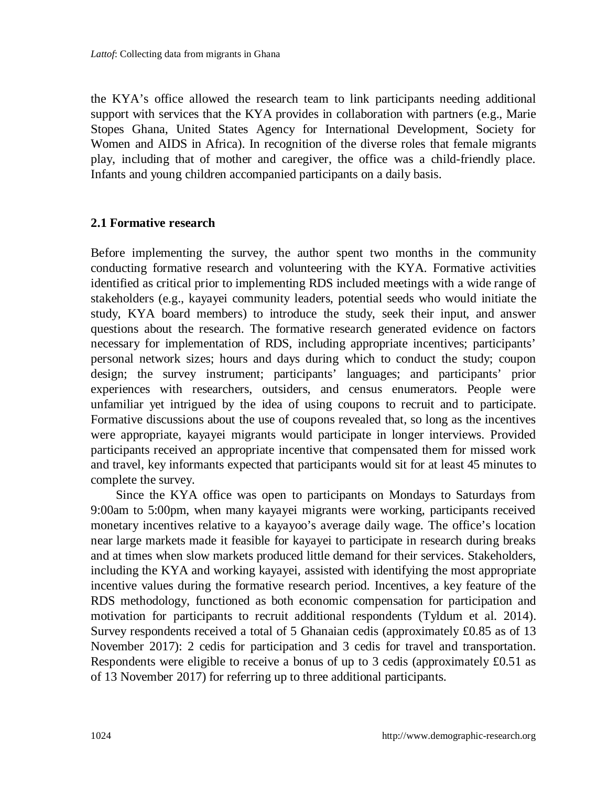the KYA's office allowed the research team to link participants needing additional support with services that the KYA provides in collaboration with partners (e.g., Marie Stopes Ghana, United States Agency for International Development, Society for Women and AIDS in Africa). In recognition of the diverse roles that female migrants play, including that of mother and caregiver, the office was a child-friendly place. Infants and young children accompanied participants on a daily basis.

#### **2.1 Formative research**

Before implementing the survey, the author spent two months in the community conducting formative research and volunteering with the KYA. Formative activities identified as critical prior to implementing RDS included meetings with a wide range of stakeholders (e.g., kayayei community leaders, potential seeds who would initiate the study, KYA board members) to introduce the study, seek their input, and answer questions about the research. The formative research generated evidence on factors necessary for implementation of RDS, including appropriate incentives; participants' personal network sizes; hours and days during which to conduct the study; coupon design; the survey instrument; participants' languages; and participants' prior experiences with researchers, outsiders, and census enumerators. People were unfamiliar yet intrigued by the idea of using coupons to recruit and to participate. Formative discussions about the use of coupons revealed that, so long as the incentives were appropriate, kayayei migrants would participate in longer interviews. Provided participants received an appropriate incentive that compensated them for missed work and travel, key informants expected that participants would sit for at least 45 minutes to complete the survey.

Since the KYA office was open to participants on Mondays to Saturdays from 9:00am to 5:00pm, when many kayayei migrants were working, participants received monetary incentives relative to a kayayoo's average daily wage. The office's location near large markets made it feasible for kayayei to participate in research during breaks and at times when slow markets produced little demand for their services. Stakeholders, including the KYA and working kayayei, assisted with identifying the most appropriate incentive values during the formative research period. Incentives, a key feature of the RDS methodology, functioned as both economic compensation for participation and motivation for participants to recruit additional respondents (Tyldum et al. 2014). Survey respondents received a total of 5 Ghanaian cedis (approximately £0.85 as of 13 November 2017): 2 cedis for participation and 3 cedis for travel and transportation. Respondents were eligible to receive a bonus of up to 3 cedis (approximately  $£0.51$  as of 13 November 2017) for referring up to three additional participants.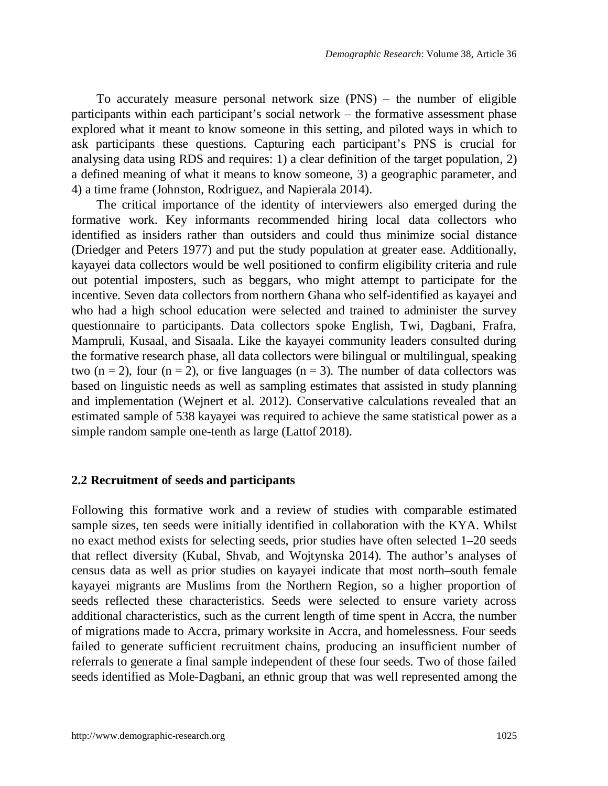To accurately measure personal network size  $(PNS)$  – the number of eligible participants within each participant's social network – the formative assessment phase explored what it meant to know someone in this setting, and piloted ways in which to ask participants these questions. Capturing each participant's PNS is crucial for analysing data using RDS and requires: 1) a clear definition of the target population, 2) a defined meaning of what it means to know someone, 3) a geographic parameter, and 4) a time frame (Johnston, Rodriguez, and Napierala 2014).

The critical importance of the identity of interviewers also emerged during the formative work. Key informants recommended hiring local data collectors who identified as insiders rather than outsiders and could thus minimize social distance (Driedger and Peters 1977) and put the study population at greater ease. Additionally, kayayei data collectors would be well positioned to confirm eligibility criteria and rule out potential imposters, such as beggars, who might attempt to participate for the incentive. Seven data collectors from northern Ghana who self-identified as kayayei and who had a high school education were selected and trained to administer the survey questionnaire to participants. Data collectors spoke English, Twi, Dagbani, Frafra, Mampruli, Kusaal, and Sisaala. Like the kayayei community leaders consulted during the formative research phase, all data collectors were bilingual or multilingual, speaking two  $(n = 2)$ , four  $(n = 2)$ , or five languages  $(n = 3)$ . The number of data collectors was based on linguistic needs as well as sampling estimates that assisted in study planning and implementation (Wejnert et al. 2012). Conservative calculations revealed that an estimated sample of 538 kayayei was required to achieve the same statistical power as a simple random sample one-tenth as large (Lattof 2018).

#### **2.2 Recruitment of seeds and participants**

Following this formative work and a review of studies with comparable estimated sample sizes, ten seeds were initially identified in collaboration with the KYA. Whilst no exact method exists for selecting seeds, prior studies have often selected 1–20 seeds that reflect diversity (Kubal, Shvab, and Wojtynska 2014). The author's analyses of census data as well as prior studies on kayayei indicate that most north–south female kayayei migrants are Muslims from the Northern Region, so a higher proportion of seeds reflected these characteristics. Seeds were selected to ensure variety across additional characteristics, such as the current length of time spent in Accra, the number of migrations made to Accra, primary worksite in Accra, and homelessness. Four seeds failed to generate sufficient recruitment chains, producing an insufficient number of referrals to generate a final sample independent of these four seeds. Two of those failed seeds identified as Mole-Dagbani, an ethnic group that was well represented among the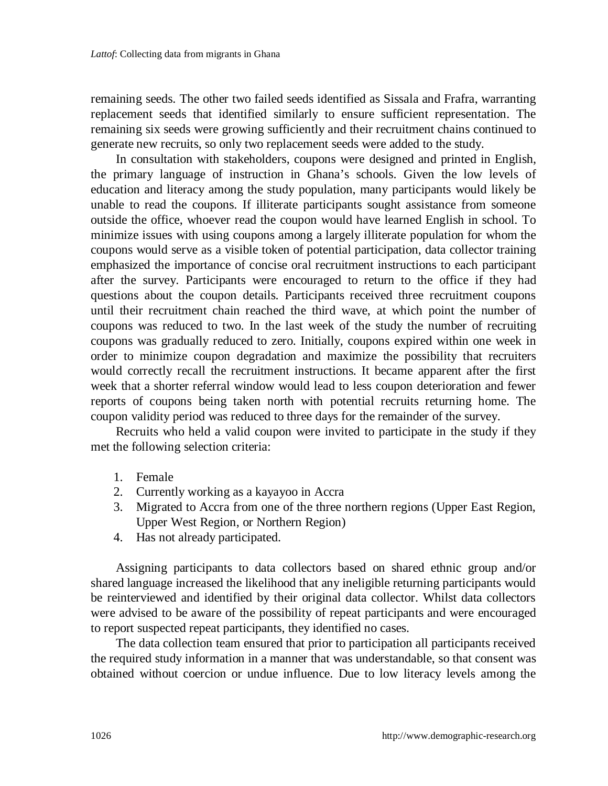remaining seeds. The other two failed seeds identified as Sissala and Frafra, warranting replacement seeds that identified similarly to ensure sufficient representation. The remaining six seeds were growing sufficiently and their recruitment chains continued to generate new recruits, so only two replacement seeds were added to the study.

In consultation with stakeholders, coupons were designed and printed in English, the primary language of instruction in Ghana's schools. Given the low levels of education and literacy among the study population, many participants would likely be unable to read the coupons. If illiterate participants sought assistance from someone outside the office, whoever read the coupon would have learned English in school. To minimize issues with using coupons among a largely illiterate population for whom the coupons would serve as a visible token of potential participation, data collector training emphasized the importance of concise oral recruitment instructions to each participant after the survey. Participants were encouraged to return to the office if they had questions about the coupon details. Participants received three recruitment coupons until their recruitment chain reached the third wave, at which point the number of coupons was reduced to two. In the last week of the study the number of recruiting coupons was gradually reduced to zero. Initially, coupons expired within one week in order to minimize coupon degradation and maximize the possibility that recruiters would correctly recall the recruitment instructions. It became apparent after the first week that a shorter referral window would lead to less coupon deterioration and fewer reports of coupons being taken north with potential recruits returning home. The coupon validity period was reduced to three days for the remainder of the survey.

Recruits who held a valid coupon were invited to participate in the study if they met the following selection criteria:

- 1. Female
- 2. Currently working as a kayayoo in Accra
- 3. Migrated to Accra from one of the three northern regions (Upper East Region, Upper West Region, or Northern Region)
- 4. Has not already participated.

Assigning participants to data collectors based on shared ethnic group and/or shared language increased the likelihood that any ineligible returning participants would be reinterviewed and identified by their original data collector. Whilst data collectors were advised to be aware of the possibility of repeat participants and were encouraged to report suspected repeat participants, they identified no cases.

The data collection team ensured that prior to participation all participants received the required study information in a manner that was understandable, so that consent was obtained without coercion or undue influence. Due to low literacy levels among the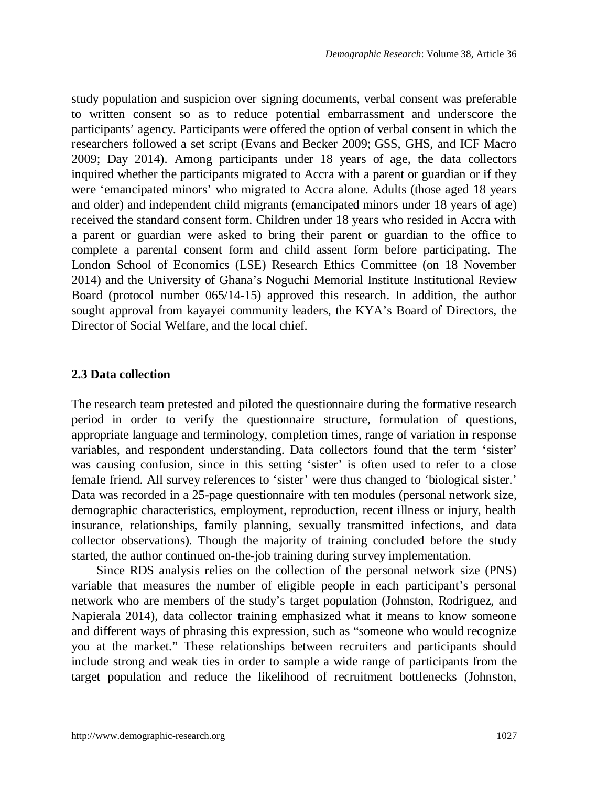study population and suspicion over signing documents, verbal consent was preferable to written consent so as to reduce potential embarrassment and underscore the participants' agency. Participants were offered the option of verbal consent in which the researchers followed a set script (Evans and Becker 2009; GSS, GHS, and ICF Macro 2009; Day 2014). Among participants under 18 years of age, the data collectors inquired whether the participants migrated to Accra with a parent or guardian or if they were 'emancipated minors' who migrated to Accra alone. Adults (those aged 18 years and older) and independent child migrants (emancipated minors under 18 years of age) received the standard consent form. Children under 18 years who resided in Accra with a parent or guardian were asked to bring their parent or guardian to the office to complete a parental consent form and child assent form before participating. The London School of Economics (LSE) Research Ethics Committee (on 18 November 2014) and the University of Ghana's Noguchi Memorial Institute Institutional Review Board (protocol number 065/14-15) approved this research. In addition, the author sought approval from kayayei community leaders, the KYA's Board of Directors, the Director of Social Welfare, and the local chief.

#### **2.3 Data collection**

The research team pretested and piloted the questionnaire during the formative research period in order to verify the questionnaire structure, formulation of questions, appropriate language and terminology, completion times, range of variation in response variables, and respondent understanding. Data collectors found that the term 'sister' was causing confusion, since in this setting 'sister' is often used to refer to a close female friend. All survey references to 'sister' were thus changed to 'biological sister.' Data was recorded in a 25-page questionnaire with ten modules (personal network size, demographic characteristics, employment, reproduction, recent illness or injury, health insurance, relationships, family planning, sexually transmitted infections, and data collector observations). Though the majority of training concluded before the study started, the author continued on-the-job training during survey implementation.

Since RDS analysis relies on the collection of the personal network size (PNS) variable that measures the number of eligible people in each participant's personal network who are members of the study's target population (Johnston, Rodriguez, and Napierala 2014), data collector training emphasized what it means to know someone and different ways of phrasing this expression, such as "someone who would recognize you at the market." These relationships between recruiters and participants should include strong and weak ties in order to sample a wide range of participants from the target population and reduce the likelihood of recruitment bottlenecks (Johnston,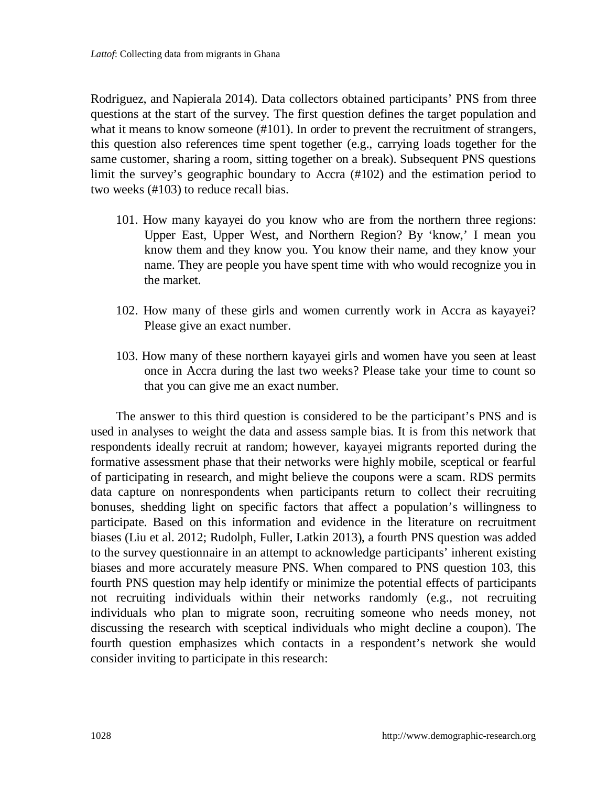Rodriguez, and Napierala 2014). Data collectors obtained participants' PNS from three questions at the start of the survey. The first question defines the target population and what it means to know someone (#101). In order to prevent the recruitment of strangers, this question also references time spent together (e.g., carrying loads together for the same customer, sharing a room, sitting together on a break). Subsequent PNS questions limit the survey's geographic boundary to Accra (#102) and the estimation period to two weeks (#103) to reduce recall bias.

- 101. How many kayayei do you know who are from the northern three regions: Upper East, Upper West, and Northern Region? By 'know,' I mean you know them and they know you. You know their name, and they know your name. They are people you have spent time with who would recognize you in the market.
- 102. How many of these girls and women currently work in Accra as kayayei? Please give an exact number.
- 103. How many of these northern kayayei girls and women have you seen at least once in Accra during the last two weeks? Please take your time to count so that you can give me an exact number.

The answer to this third question is considered to be the participant's PNS and is used in analyses to weight the data and assess sample bias. It is from this network that respondents ideally recruit at random; however, kayayei migrants reported during the formative assessment phase that their networks were highly mobile, sceptical or fearful of participating in research, and might believe the coupons were a scam. RDS permits data capture on nonrespondents when participants return to collect their recruiting bonuses, shedding light on specific factors that affect a population's willingness to participate. Based on this information and evidence in the literature on recruitment biases (Liu et al. 2012; Rudolph, Fuller, Latkin 2013), a fourth PNS question was added to the survey questionnaire in an attempt to acknowledge participants' inherent existing biases and more accurately measure PNS. When compared to PNS question 103, this fourth PNS question may help identify or minimize the potential effects of participants not recruiting individuals within their networks randomly (e.g., not recruiting individuals who plan to migrate soon, recruiting someone who needs money, not discussing the research with sceptical individuals who might decline a coupon). The fourth question emphasizes which contacts in a respondent's network she would consider inviting to participate in this research: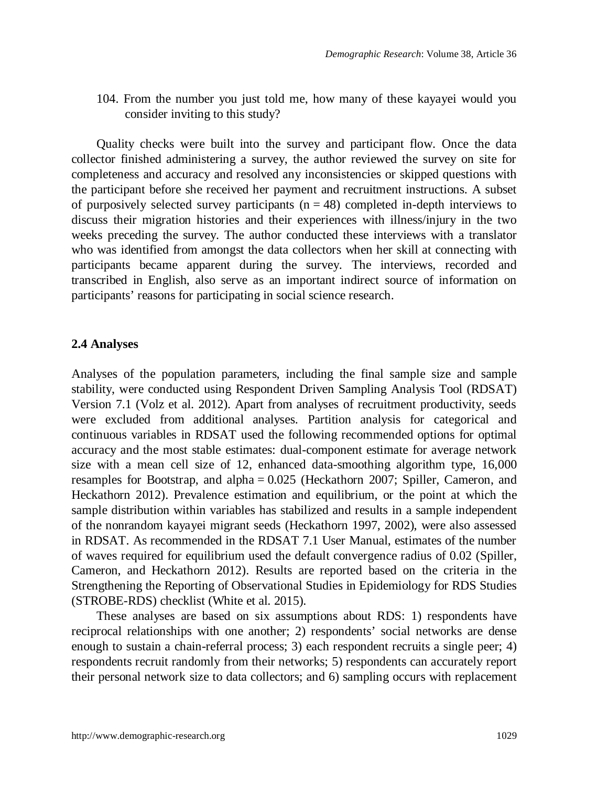104. From the number you just told me, how many of these kayayei would you consider inviting to this study?

Quality checks were built into the survey and participant flow. Once the data collector finished administering a survey, the author reviewed the survey on site for completeness and accuracy and resolved any inconsistencies or skipped questions with the participant before she received her payment and recruitment instructions. A subset of purposively selected survey participants ( $n = 48$ ) completed in-depth interviews to discuss their migration histories and their experiences with illness/injury in the two weeks preceding the survey. The author conducted these interviews with a translator who was identified from amongst the data collectors when her skill at connecting with participants became apparent during the survey. The interviews, recorded and transcribed in English, also serve as an important indirect source of information on participants' reasons for participating in social science research.

#### **2.4 Analyses**

Analyses of the population parameters, including the final sample size and sample stability, were conducted using Respondent Driven Sampling Analysis Tool (RDSAT) Version 7.1 (Volz et al. 2012). Apart from analyses of recruitment productivity, seeds were excluded from additional analyses. Partition analysis for categorical and continuous variables in RDSAT used the following recommended options for optimal accuracy and the most stable estimates: dual-component estimate for average network size with a mean cell size of 12, enhanced data-smoothing algorithm type, 16,000 resamples for Bootstrap, and alpha = 0.025 (Heckathorn 2007; Spiller, Cameron, and Heckathorn 2012). Prevalence estimation and equilibrium, or the point at which the sample distribution within variables has stabilized and results in a sample independent of the nonrandom kayayei migrant seeds (Heckathorn 1997, 2002), were also assessed in RDSAT. As recommended in the RDSAT 7.1 User Manual, estimates of the number of waves required for equilibrium used the default convergence radius of 0.02 (Spiller, Cameron, and Heckathorn 2012). Results are reported based on the criteria in the Strengthening the Reporting of Observational Studies in Epidemiology for RDS Studies (STROBE-RDS) checklist (White et al. 2015).

These analyses are based on six assumptions about RDS: 1) respondents have reciprocal relationships with one another; 2) respondents' social networks are dense enough to sustain a chain-referral process; 3) each respondent recruits a single peer; 4) respondents recruit randomly from their networks; 5) respondents can accurately report their personal network size to data collectors; and 6) sampling occurs with replacement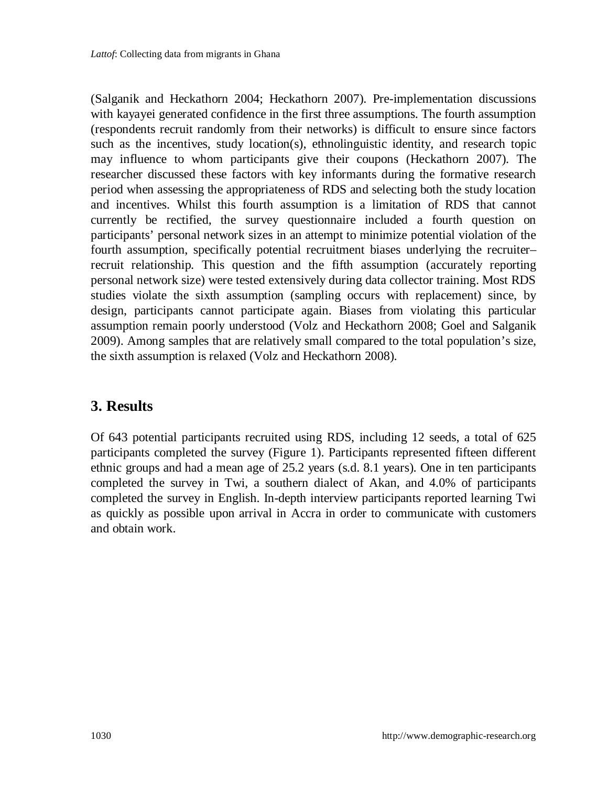(Salganik and Heckathorn 2004; Heckathorn 2007). Pre-implementation discussions with kayayei generated confidence in the first three assumptions. The fourth assumption (respondents recruit randomly from their networks) is difficult to ensure since factors such as the incentives, study location(s), ethnolinguistic identity, and research topic may influence to whom participants give their coupons (Heckathorn 2007). The researcher discussed these factors with key informants during the formative research period when assessing the appropriateness of RDS and selecting both the study location and incentives. Whilst this fourth assumption is a limitation of RDS that cannot currently be rectified, the survey questionnaire included a fourth question on participants' personal network sizes in an attempt to minimize potential violation of the fourth assumption, specifically potential recruitment biases underlying the recruiter– recruit relationship. This question and the fifth assumption (accurately reporting personal network size) were tested extensively during data collector training. Most RDS studies violate the sixth assumption (sampling occurs with replacement) since, by design, participants cannot participate again. Biases from violating this particular assumption remain poorly understood (Volz and Heckathorn 2008; Goel and Salganik 2009). Among samples that are relatively small compared to the total population's size, the sixth assumption is relaxed (Volz and Heckathorn 2008).

## **3. Results**

Of 643 potential participants recruited using RDS, including 12 seeds, a total of 625 participants completed the survey (Figure 1). Participants represented fifteen different ethnic groups and had a mean age of 25.2 years (s.d. 8.1 years). One in ten participants completed the survey in Twi, a southern dialect of Akan, and 4.0% of participants completed the survey in English. In-depth interview participants reported learning Twi as quickly as possible upon arrival in Accra in order to communicate with customers and obtain work.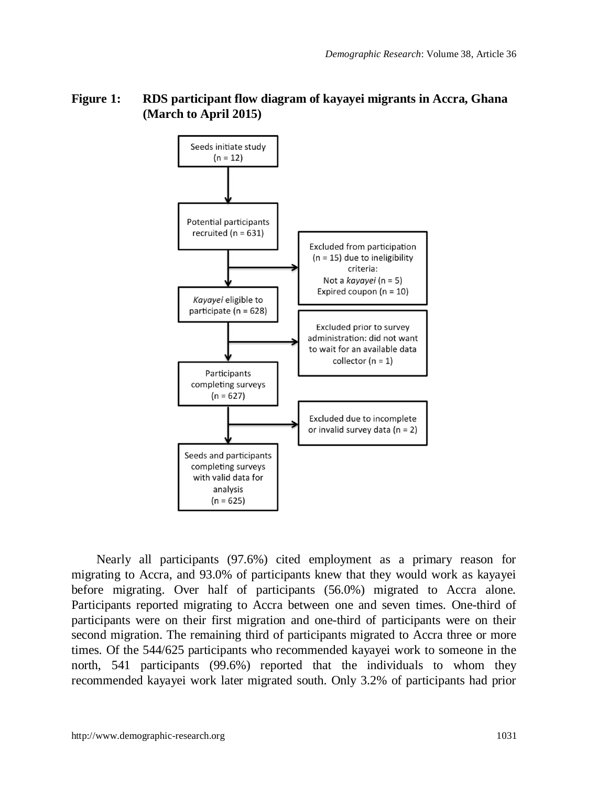

#### **Figure 1: RDS participant flow diagram of kayayei migrants in Accra, Ghana (March to April 2015)**

Nearly all participants (97.6%) cited employment as a primary reason for migrating to Accra, and 93.0% of participants knew that they would work as kayayei before migrating. Over half of participants (56.0%) migrated to Accra alone. Participants reported migrating to Accra between one and seven times. One-third of participants were on their first migration and one-third of participants were on their second migration. The remaining third of participants migrated to Accra three or more times. Of the 544/625 participants who recommended kayayei work to someone in the north, 541 participants (99.6%) reported that the individuals to whom they recommended kayayei work later migrated south. Only 3.2% of participants had prior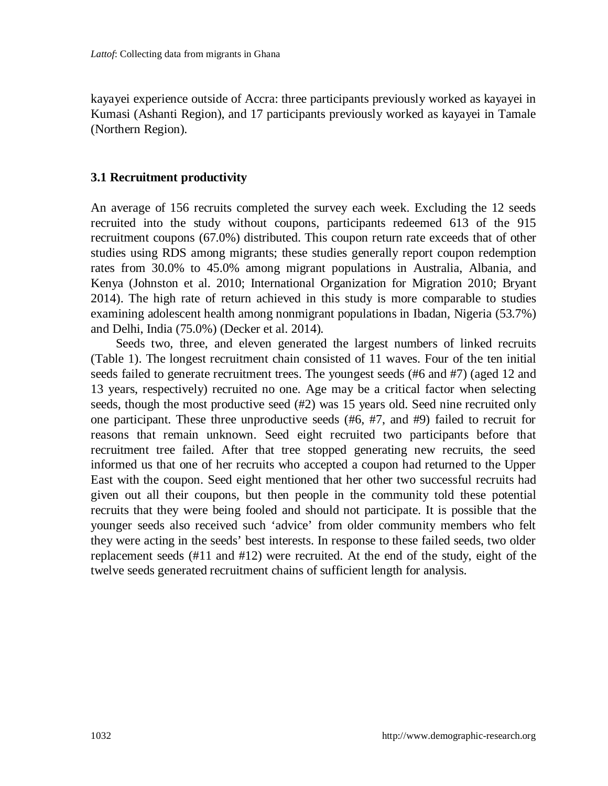kayayei experience outside of Accra: three participants previously worked as kayayei in Kumasi (Ashanti Region), and 17 participants previously worked as kayayei in Tamale (Northern Region).

#### **3.1 Recruitment productivity**

An average of 156 recruits completed the survey each week. Excluding the 12 seeds recruited into the study without coupons, participants redeemed 613 of the 915 recruitment coupons (67.0%) distributed. This coupon return rate exceeds that of other studies using RDS among migrants; these studies generally report coupon redemption rates from 30.0% to 45.0% among migrant populations in Australia, Albania, and Kenya (Johnston et al. 2010; International Organization for Migration 2010; Bryant 2014). The high rate of return achieved in this study is more comparable to studies examining adolescent health among nonmigrant populations in Ibadan, Nigeria (53.7%) and Delhi, India (75.0%) (Decker et al. 2014).

Seeds two, three, and eleven generated the largest numbers of linked recruits (Table 1). The longest recruitment chain consisted of 11 waves. Four of the ten initial seeds failed to generate recruitment trees. The youngest seeds (#6 and #7) (aged 12 and 13 years, respectively) recruited no one. Age may be a critical factor when selecting seeds, though the most productive seed (#2) was 15 years old. Seed nine recruited only one participant. These three unproductive seeds (#6, #7, and #9) failed to recruit for reasons that remain unknown. Seed eight recruited two participants before that recruitment tree failed. After that tree stopped generating new recruits, the seed informed us that one of her recruits who accepted a coupon had returned to the Upper East with the coupon. Seed eight mentioned that her other two successful recruits had given out all their coupons, but then people in the community told these potential recruits that they were being fooled and should not participate. It is possible that the younger seeds also received such 'advice' from older community members who felt they were acting in the seeds' best interests. In response to these failed seeds, two older replacement seeds (#11 and #12) were recruited. At the end of the study, eight of the twelve seeds generated recruitment chains of sufficient length for analysis.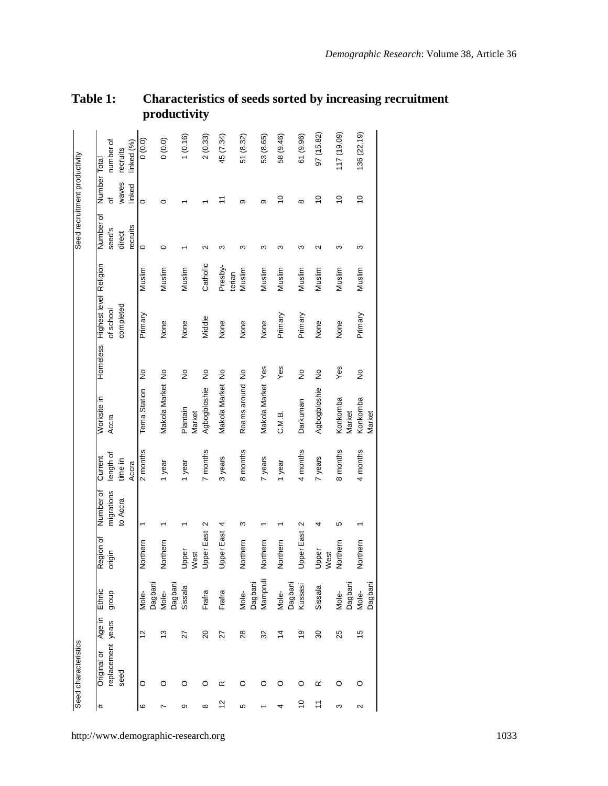|                               |                                     |           |            | ĸ             |                  |         |                    |                   |                   |                  |                   |                  |                   |                      |                    |                    |
|-------------------------------|-------------------------------------|-----------|------------|---------------|------------------|---------|--------------------|-------------------|-------------------|------------------|-------------------|------------------|-------------------|----------------------|--------------------|--------------------|
|                               | number of                           | recruits  | linked (%) | (0.0)         | 0(0.0)           |         | 1(0.16)            | 2(0.33)           | 45 (7.34)         | 51 (8.32)        | 53 (8.65)         | 58 (9.46)        | 61 (9.96)         | 97 (15.82)           | 117 (19.09)        | 136 (22.19)        |
|                               | Number Total<br>৳                   | waves     | linked     | $\circ$       | O                |         |                    |                   |                   | $\sigma$         | თ                 | S                | $\infty$          | S                    | S                  | $\overline{0}$     |
| Seed recruitment productivity | Number of<br>seed's                 | direct    | recruits   | $\circ$       | $\circ$          |         |                    |                   | $\infty$          | ო                | S                 | ო                | ო                 | $\mathbf{\tilde{c}}$ | ო                  | ო                  |
|                               |                                     |           |            | Muslim        | Muslim           |         | Muslim             | Catholic          | Presby-<br>terian | Muslim           | Muslim            | Muslim           | Muslim            | Muslim               | Muslim             | Muslim             |
|                               | Highest level Religion<br>of school | completed |            | Primary       | None             |         | None               | Middle            | None              | None             | None              | Primary          | Primary           | None                 | None               | Primary            |
|                               | Homeless                            |           |            | ž             |                  |         | $\frac{1}{2}$      | $\frac{1}{2}$     |                   |                  |                   | Yes              | $\frac{1}{2}$     | $\frac{1}{2}$        | Yes                | $\frac{1}{2}$      |
|                               | Worksite in<br>Accra                |           |            | Tema Station  | Makola Market No |         | Plantain<br>Market | Agbogbloshie      | Makola Market No  | Roams around No  | Makola Market Yes | C.M.B.           | Darkuman          | Agbogbloshie         | Konkomba<br>Market | Konkomba<br>Market |
|                               | length of<br>Current                | time in   | Accra      | 2 months      |                  | year    | 1 year             | 7 months          | 3 years           | 8 months         | 7 years           | 1 year           | 4 months          | 7 years              | months<br>$\infty$ | 4 months           |
|                               | Number of<br>migrations             | to Accra  |            |               |                  |         |                    | $\mathbf{\Omega}$ | 4                 | S                |                   |                  | $\sim$            |                      | 5                  |                    |
|                               | Region of<br>origin                 |           |            | Northern      | Northern         |         | Upper<br>West      | <b>Upper East</b> | <b>Upper East</b> | Northern         | Northern          | Northern         | <b>Upper East</b> | Upper<br>Nest        | Northern           | Northern           |
|                               | Ethnic<br>dno.fo                    |           |            | Mole-         | Dagban<br>Mole-  | Jagbani | Sissala            | Frafra            | Frafra            | Dagbani<br>Mole- | Mampruli          | Jagbani<br>Mole- | kussasi           | Sissala              | Jagbani<br>Viole-  | Dagban<br>Mole-    |
|                               | Age in                              |           |            | $\frac{2}{3}$ | S                |         | 21                 | ສ                 | 27                | 28               | 32                | 4                | ഉ                 | 30                   | 25                 | 15                 |
| Seed characteristics          | replacement years<br>Original or    | seed      |            | O             | O                |         | O                  | O                 | œ                 | O                | O                 | O                | O                 | œ                    | O                  | O                  |
|                               | #                                   |           |            | $\circ$       | N                |         | ō                  | ഹ                 | 12                | မာ               |                   | 4                | ă                 | $\tilde{=}$          | $\infty$           | $\sim$             |

#### **Table 1: Characteristics of seeds sorted by increasing recruitment productivity**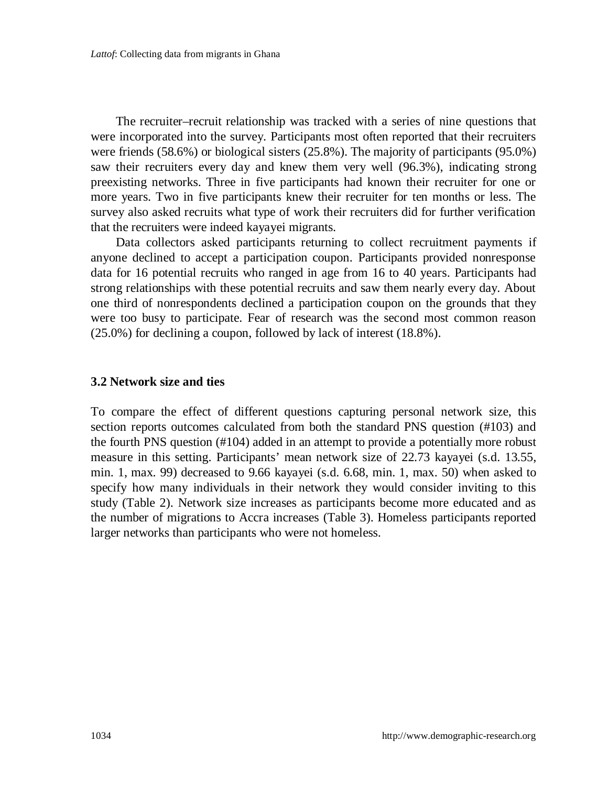The recruiter–recruit relationship was tracked with a series of nine questions that were incorporated into the survey. Participants most often reported that their recruiters were friends (58.6%) or biological sisters (25.8%). The majority of participants (95.0%) saw their recruiters every day and knew them very well (96.3%), indicating strong preexisting networks. Three in five participants had known their recruiter for one or more years. Two in five participants knew their recruiter for ten months or less. The survey also asked recruits what type of work their recruiters did for further verification that the recruiters were indeed kayayei migrants.

Data collectors asked participants returning to collect recruitment payments if anyone declined to accept a participation coupon. Participants provided nonresponse data for 16 potential recruits who ranged in age from 16 to 40 years. Participants had strong relationships with these potential recruits and saw them nearly every day. About one third of nonrespondents declined a participation coupon on the grounds that they were too busy to participate. Fear of research was the second most common reason (25.0%) for declining a coupon, followed by lack of interest (18.8%).

#### **3.2 Network size and ties**

To compare the effect of different questions capturing personal network size, this section reports outcomes calculated from both the standard PNS question (#103) and the fourth PNS question (#104) added in an attempt to provide a potentially more robust measure in this setting. Participants' mean network size of 22.73 kayayei (s.d. 13.55, min. 1, max. 99) decreased to 9.66 kayayei (s.d. 6.68, min. 1, max. 50) when asked to specify how many individuals in their network they would consider inviting to this study (Table 2). Network size increases as participants become more educated and as the number of migrations to Accra increases (Table 3). Homeless participants reported larger networks than participants who were not homeless.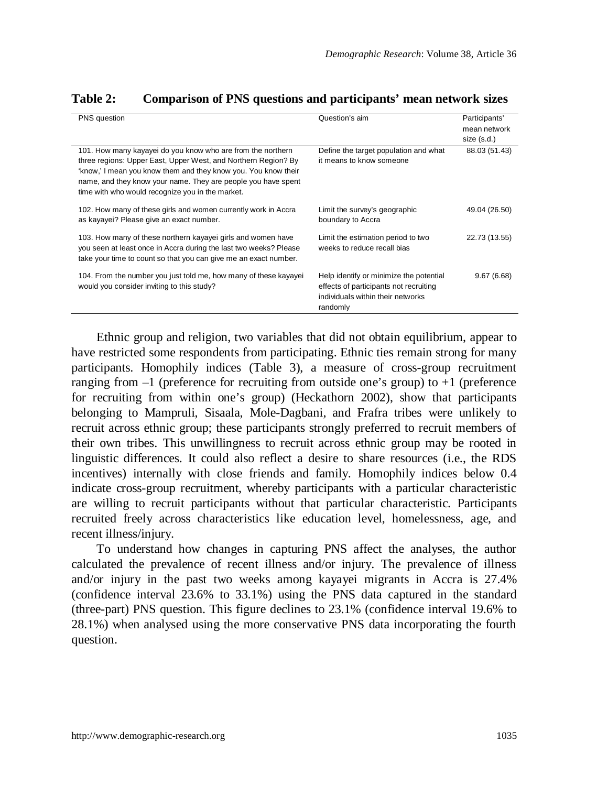| PNS question                                                                                                                                                                                                                                                                                                         | Question's aim                                                                                                                     | Participants'<br>mean network<br>size (s.d.) |
|----------------------------------------------------------------------------------------------------------------------------------------------------------------------------------------------------------------------------------------------------------------------------------------------------------------------|------------------------------------------------------------------------------------------------------------------------------------|----------------------------------------------|
| 101. How many kayayei do you know who are from the northern<br>three regions: Upper East, Upper West, and Northern Region? By<br>'know,' I mean you know them and they know you. You know their<br>name, and they know your name. They are people you have spent<br>time with who would recognize you in the market. | Define the target population and what<br>it means to know someone                                                                  | 88.03 (51.43)                                |
| 102. How many of these girls and women currently work in Accra<br>as kayayei? Please give an exact number.                                                                                                                                                                                                           | Limit the survey's geographic<br>boundary to Accra                                                                                 | 49.04 (26.50)                                |
| 103. How many of these northern kayayei girls and women have<br>you seen at least once in Accra during the last two weeks? Please<br>take your time to count so that you can give me an exact number.                                                                                                                | Limit the estimation period to two<br>weeks to reduce recall bias                                                                  | 22.73 (13.55)                                |
| 104. From the number you just told me, how many of these kayayei<br>would you consider inviting to this study?                                                                                                                                                                                                       | Help identify or minimize the potential<br>effects of participants not recruiting<br>individuals within their networks<br>randomly | 9.67(6.68)                                   |

#### **Table 2: Comparison of PNS questions and participants' mean network sizes**

Ethnic group and religion, two variables that did not obtain equilibrium, appear to have restricted some respondents from participating. Ethnic ties remain strong for many participants. Homophily indices (Table 3), a measure of cross-group recruitment ranging from  $-1$  (preference for recruiting from outside one's group) to  $+1$  (preference for recruiting from within one's group) (Heckathorn 2002), show that participants belonging to Mampruli, Sisaala, Mole-Dagbani, and Frafra tribes were unlikely to recruit across ethnic group; these participants strongly preferred to recruit members of their own tribes. This unwillingness to recruit across ethnic group may be rooted in linguistic differences. It could also reflect a desire to share resources (i.e., the RDS incentives) internally with close friends and family. Homophily indices below 0.4 indicate cross-group recruitment, whereby participants with a particular characteristic are willing to recruit participants without that particular characteristic. Participants recruited freely across characteristics like education level, homelessness, age, and recent illness/injury.

To understand how changes in capturing PNS affect the analyses, the author calculated the prevalence of recent illness and/or injury. The prevalence of illness and/or injury in the past two weeks among kayayei migrants in Accra is 27.4% (confidence interval 23.6% to 33.1%) using the PNS data captured in the standard (three-part) PNS question. This figure declines to 23.1% (confidence interval 19.6% to 28.1%) when analysed using the more conservative PNS data incorporating the fourth question.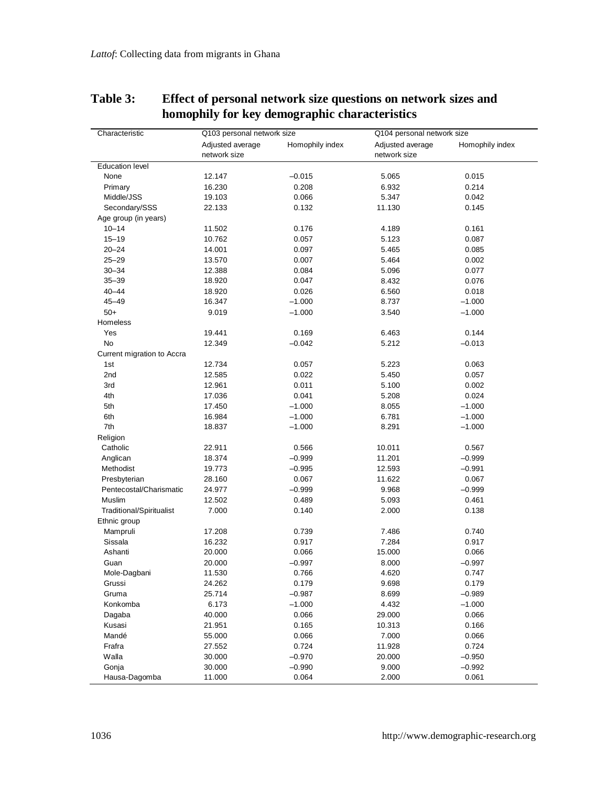| Characteristic                  | Q103 personal network size |                 | Q104 personal network size |                 |
|---------------------------------|----------------------------|-----------------|----------------------------|-----------------|
|                                 | Adjusted average           | Homophily index | Adjusted average           | Homophily index |
|                                 | network size               |                 | network size               |                 |
| <b>Education level</b>          |                            |                 |                            |                 |
| None                            | 12.147                     | $-0.015$        | 5.065                      | 0.015           |
| Primary                         | 16.230                     | 0.208           | 6.932                      | 0.214           |
| Middle/JSS                      | 19.103                     | 0.066           | 5.347                      | 0.042           |
| Secondary/SSS                   | 22.133                     | 0.132           | 11.130                     | 0.145           |
| Age group (in years)            |                            |                 |                            |                 |
| $10 - 14$                       | 11.502                     | 0.176           | 4.189                      | 0.161           |
| $15 - 19$                       | 10.762                     | 0.057           | 5.123                      | 0.087           |
| $20 - 24$                       | 14.001                     | 0.097           | 5.465                      | 0.085           |
| $25 - 29$                       | 13.570                     | 0.007           | 5.464                      | 0.002           |
| $30 - 34$                       | 12.388                     | 0.084           | 5.096                      | 0.077           |
| $35 - 39$                       | 18.920                     | 0.047           | 8.432                      | 0.076           |
| $40 - 44$                       | 18.920                     | 0.026           | 6.560                      | 0.018           |
| $45 - 49$                       | 16.347                     | $-1.000$        | 8.737                      | $-1.000$        |
| $50+$                           | 9.019                      | $-1.000$        | 3.540                      | $-1.000$        |
| Homeless                        |                            |                 |                            |                 |
| Yes                             | 19.441                     | 0.169           | 6.463                      | 0.144           |
| No                              | 12.349                     | $-0.042$        | 5.212                      | $-0.013$        |
| Current migration to Accra      |                            |                 |                            |                 |
| 1st                             | 12.734                     | 0.057           | 5.223                      | 0.063           |
| 2nd                             | 12.585                     | 0.022           | 5.450                      | 0.057           |
| 3rd                             | 12.961                     | 0.011           | 5.100                      | 0.002           |
| 4th                             | 17.036                     | 0.041           | 5.208                      | 0.024           |
| 5th                             | 17.450                     | $-1.000$        | 8.055                      | $-1.000$        |
| 6th                             | 16.984                     | $-1.000$        | 6.781                      | $-1.000$        |
| 7th                             | 18.837                     | $-1.000$        | 8.291                      | $-1.000$        |
| Religion                        |                            |                 |                            |                 |
| Catholic                        | 22.911                     | 0.566           | 10.011                     | 0.567           |
| Anglican                        | 18.374                     | $-0.999$        | 11.201                     | $-0.999$        |
| Methodist                       | 19.773                     | $-0.995$        | 12.593                     | $-0.991$        |
| Presbyterian                    | 28.160                     | 0.067           | 11.622                     | 0.067           |
| Pentecostal/Charismatic         | 24.977                     | $-0.999$        | 9.968                      | $-0.999$        |
| Muslim                          | 12.502                     | 0.489           | 5.093                      | 0.461           |
| <b>Traditional/Spiritualist</b> | 7.000                      | 0.140           | 2.000                      | 0.138           |
| Ethnic group                    |                            |                 |                            |                 |
| Mampruli                        | 17.208                     | 0.739           | 7.486                      | 0.740           |
| Sissala                         | 16.232                     | 0.917           | 7.284                      | 0.917           |
| Ashanti                         | 20.000                     | 0.066           | 15.000                     | 0.066           |
| Guan                            | 20.000                     | $-0.997$        | 8.000                      | $-0.997$        |
| Mole-Dagbani                    | 11.530                     | 0.766           | 4.620                      | 0.747           |
| Grussi                          | 24.262                     | 0.179           | 9.698                      | 0.179           |
| Gruma                           | 25.714                     | $-0.987$        | 8.699                      | $-0.989$        |
| Konkomba                        | 6.173                      | $-1.000$        | 4.432                      | $-1.000$        |
| Dagaba                          | 40.000                     | 0.066           | 29.000                     | 0.066           |
| Kusasi                          | 21.951                     | 0.165           | 10.313                     | 0.166           |
| Mandé                           | 55.000                     | 0.066           | 7.000                      | 0.066           |
| Frafra                          | 27.552                     | 0.724           | 11.928                     | 0.724           |
| Walla                           | 30.000                     | $-0.970$        | 20.000                     | $-0.950$        |
| Gonja                           | 30.000                     | $-0.990$        | 9.000                      | $-0.992$        |
| Hausa-Dagomba                   | 11.000                     | 0.064           | 2.000                      | 0.061           |

## **Table 3: Effect of personal network size questions on network sizes and homophily for key demographic characteristics**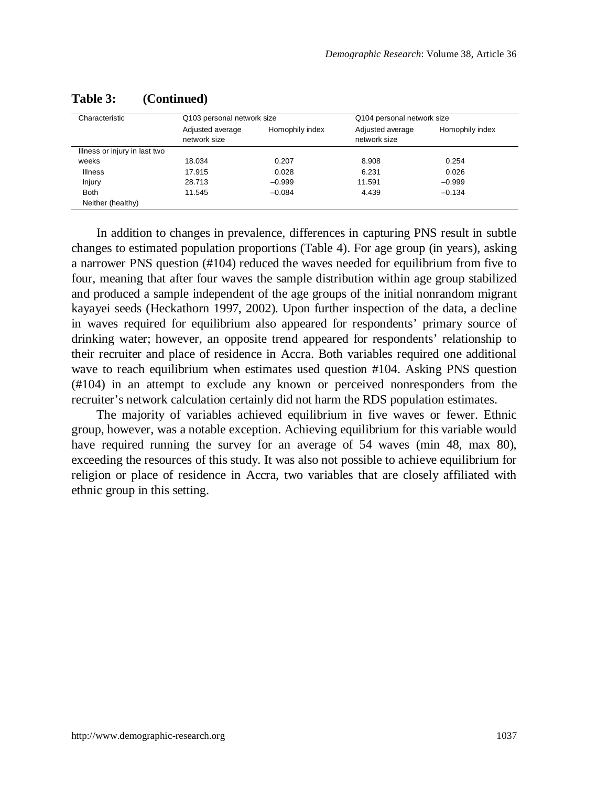| Characteristic                | Q103 personal network size       |                 | Q104 personal network size       |                 |
|-------------------------------|----------------------------------|-----------------|----------------------------------|-----------------|
|                               | Adjusted average<br>network size | Homophily index | Adjusted average<br>network size | Homophily index |
| Illness or injury in last two |                                  |                 |                                  |                 |
| weeks                         | 18.034                           | 0.207           | 8.908                            | 0.254           |
| <b>Illness</b>                | 17.915                           | 0.028           | 6.231                            | 0.026           |
| Injury                        | 28.713                           | $-0.999$        | 11.591                           | $-0.999$        |
| <b>Both</b>                   | 11.545                           | $-0.084$        | 4.439                            | $-0.134$        |
| Neither (healthy)             |                                  |                 |                                  |                 |

#### **Table 3: (Continued)**

In addition to changes in prevalence, differences in capturing PNS result in subtle changes to estimated population proportions (Table 4). For age group (in years), asking a narrower PNS question (#104) reduced the waves needed for equilibrium from five to four, meaning that after four waves the sample distribution within age group stabilized and produced a sample independent of the age groups of the initial nonrandom migrant kayayei seeds (Heckathorn 1997, 2002). Upon further inspection of the data, a decline in waves required for equilibrium also appeared for respondents' primary source of drinking water; however, an opposite trend appeared for respondents' relationship to their recruiter and place of residence in Accra. Both variables required one additional wave to reach equilibrium when estimates used question #104. Asking PNS question (#104) in an attempt to exclude any known or perceived nonresponders from the recruiter's network calculation certainly did not harm the RDS population estimates.

The majority of variables achieved equilibrium in five waves or fewer. Ethnic group, however, was a notable exception. Achieving equilibrium for this variable would have required running the survey for an average of 54 waves (min 48, max 80), exceeding the resources of this study. It was also not possible to achieve equilibrium for religion or place of residence in Accra, two variables that are closely affiliated with ethnic group in this setting.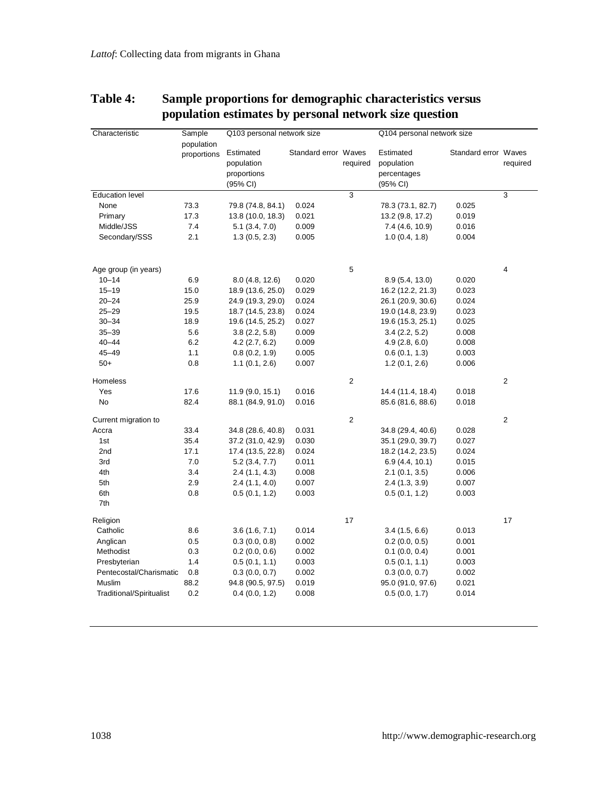| Characteristic           | Sample<br>population | Q103 personal network size |                      |          | Q104 personal network size |                      |                |
|--------------------------|----------------------|----------------------------|----------------------|----------|----------------------------|----------------------|----------------|
|                          | proportions          | Estimated                  | Standard error Waves |          | Estimated                  | Standard error Waves |                |
|                          |                      | population                 |                      | required | population                 |                      | required       |
|                          |                      | proportions                |                      |          | percentages                |                      |                |
|                          |                      | (95% CI)                   |                      |          | (95% CI)                   |                      |                |
| <b>Education level</b>   |                      |                            |                      | 3        |                            |                      | 3              |
| None                     | 73.3                 | 79.8 (74.8, 84.1)          | 0.024                |          | 78.3 (73.1, 82.7)          | 0.025                |                |
| Primary                  | 17.3                 | 13.8 (10.0, 18.3)          | 0.021                |          | 13.2 (9.8, 17.2)           | 0.019                |                |
| Middle/JSS               | 7.4                  | 5.1 (3.4, 7.0)             | 0.009                |          | 7.4 (4.6, 10.9)            | 0.016                |                |
| Secondary/SSS            | 2.1                  | 1.3(0.5, 2.3)              | 0.005                |          | 1.0(0.4, 1.8)              | 0.004                |                |
| Age group (in years)     |                      |                            |                      | 5        |                            |                      | $\overline{4}$ |
| $10 - 14$                | 6.9                  | 8.0(4.8, 12.6)             | 0.020                |          | 8.9(5.4, 13.0)             | 0.020                |                |
| $15 - 19$                | 15.0                 | 18.9 (13.6, 25.0)          | 0.029                |          | 16.2 (12.2, 21.3)          | 0.023                |                |
| $20 - 24$                | 25.9                 | 24.9 (19.3, 29.0)          | 0.024                |          | 26.1 (20.9, 30.6)          | 0.024                |                |
| $25 - 29$                | 19.5                 | 18.7 (14.5, 23.8)          | 0.024                |          | 19.0 (14.8, 23.9)          | 0.023                |                |
| $30 - 34$                | 18.9                 | 19.6 (14.5, 25.2)          | 0.027                |          | 19.6 (15.3, 25.1)          | 0.025                |                |
| $35 - 39$                | 5.6                  | 3.8(2.2, 5.8)              | 0.009                |          | 3.4(2.2, 5.2)              | 0.008                |                |
| $40 - 44$                | 6.2                  | 4.2 (2.7, 6.2)             | 0.009                |          | 4.9(2.8, 6.0)              | 0.008                |                |
| 45-49                    | 1.1                  | 0.8(0.2, 1.9)              | 0.005                |          | 0.6(0.1, 1.3)              | 0.003                |                |
| $50+$                    | 0.8                  | 1.1(0.1, 2.6)              | 0.007                |          | 1.2(0.1, 2.6)              | 0.006                |                |
| Homeless                 |                      |                            |                      | 2        |                            |                      | $\overline{2}$ |
| Yes                      | 17.6                 | 11.9 (9.0, 15.1)           | 0.016                |          | 14.4 (11.4, 18.4)          | 0.018                |                |
| No                       | 82.4                 | 88.1 (84.9, 91.0)          | 0.016                |          | 85.6 (81.6, 88.6)          | 0.018                |                |
| Current migration to     |                      |                            |                      | 2        |                            |                      | $\overline{2}$ |
| Accra                    | 33.4                 | 34.8 (28.6, 40.8)          | 0.031                |          | 34.8 (29.4, 40.6)          | 0.028                |                |
| 1st                      | 35.4                 | 37.2 (31.0, 42.9)          | 0.030                |          | 35.1 (29.0, 39.7)          | 0.027                |                |
| 2nd                      | 17.1                 | 17.4 (13.5, 22.8)          | 0.024                |          | 18.2 (14.2, 23.5)          | 0.024                |                |
| 3rd                      | 7.0                  | 5.2 (3.4, 7.7)             | 0.011                |          | 6.9(4.4, 10.1)             | 0.015                |                |
| 4th                      | 3.4                  | 2.4(1.1, 4.3)              | 0.008                |          | 2.1(0.1, 3.5)              | 0.006                |                |
| 5th                      | 2.9                  | 2.4(1.1, 4.0)              | 0.007                |          | 2.4(1.3, 3.9)              | 0.007                |                |
| 6th                      | 0.8                  | 0.5(0.1, 1.2)              | 0.003                |          | 0.5(0.1, 1.2)              | 0.003                |                |
| 7th                      |                      |                            |                      |          |                            |                      |                |
| Religion                 |                      |                            |                      | 17       |                            |                      | 17             |
| Catholic                 | 8.6                  | 3.6(1.6, 7.1)              | 0.014                |          | 3.4(1.5, 6.6)              | 0.013                |                |
| Anglican                 | 0.5                  | 0.3(0.0, 0.8)              | 0.002                |          | 0.2(0.0, 0.5)              | 0.001                |                |
| Methodist                | 0.3                  | 0.2(0.0, 0.6)              | 0.002                |          | $0.1$ (0.0, 0.4)           | 0.001                |                |
| Presbyterian             | 1.4                  | 0.5(0.1, 1.1)              | 0.003                |          | 0.5(0.1, 1.1)              | 0.003                |                |
| Pentecostal/Charismatic  | 0.8                  | 0.3(0.0, 0.7)              | 0.002                |          | 0.3(0.0, 0.7)              | 0.002                |                |
| Muslim                   | 88.2                 | 94.8 (90.5, 97.5)          | 0.019                |          | 95.0 (91.0, 97.6)          | 0.021                |                |
| Traditional/Spiritualist | 0.2                  | 0.4(0.0, 1.2)              | 0.008                |          | 0.5(0.0, 1.7)              | 0.014                |                |

## **Table 4: Sample proportions for demographic characteristics versus population estimates by personal network size question**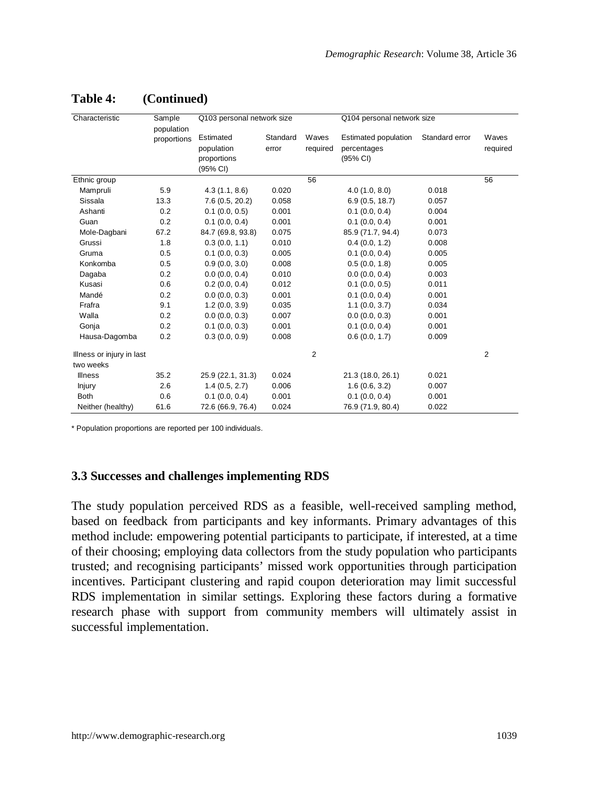| Characteristic            | Sample<br>population | Q103 personal network size                         |                   |                   | Q104 personal network size                      |                |                   |
|---------------------------|----------------------|----------------------------------------------------|-------------------|-------------------|-------------------------------------------------|----------------|-------------------|
|                           | proportions          | Estimated<br>population<br>proportions<br>(95% CI) | Standard<br>error | Waves<br>required | Estimated population<br>percentages<br>(95% CI) | Standard error | Waves<br>required |
| Ethnic group              |                      |                                                    |                   | 56                |                                                 |                | 56                |
| Mampruli                  | 5.9                  | 4.3(1.1, 8.6)                                      | 0.020             |                   | 4.0(1.0, 8.0)                                   | 0.018          |                   |
| Sissala                   | 13.3                 | 7.6(0.5, 20.2)                                     | 0.058             |                   | 6.9(0.5, 18.7)                                  | 0.057          |                   |
| Ashanti                   | 0.2                  | 0.1(0.0, 0.5)                                      | 0.001             |                   | $0.1$ (0.0, 0.4)                                | 0.004          |                   |
| Guan                      | 0.2                  | 0.1(0.0, 0.4)                                      | 0.001             |                   | $0.1$ (0.0, 0.4)                                | 0.001          |                   |
| Mole-Dagbani              | 67.2                 | 84.7 (69.8, 93.8)                                  | 0.075             |                   | 85.9 (71.7, 94.4)                               | 0.073          |                   |
| Grussi                    | 1.8                  | 0.3(0.0, 1.1)                                      | 0.010             |                   | 0.4(0.0, 1.2)                                   | 0.008          |                   |
| Gruma                     | 0.5                  | 0.1(0.0.0.3)                                       | 0.005             |                   | $0.1$ (0.0, 0.4)                                | 0.005          |                   |
| Konkomba                  | 0.5                  | 0.9(0.0, 3.0)                                      | 0.008             |                   | 0.5(0.0, 1.8)                                   | 0.005          |                   |
| Dagaba                    | 0.2                  | 0.0(0.0, 0.4)                                      | 0.010             |                   | 0.0(0.0, 0.4)                                   | 0.003          |                   |
| Kusasi                    | 0.6                  | 0.2(0.0, 0.4)                                      | 0.012             |                   | 0.1(0.0, 0.5)                                   | 0.011          |                   |
| Mandé                     | 0.2                  | 0.0(0.0, 0.3)                                      | 0.001             |                   | 0.1(0.0, 0.4)                                   | 0.001          |                   |
| Frafra                    | 9.1                  | 1.2(0.0, 3.9)                                      | 0.035             |                   | 1.1(0.0, 3.7)                                   | 0.034          |                   |
| Walla                     | 0.2                  | 0.0(0.0, 0.3)                                      | 0.007             |                   | 0.0(0.0, 0.3)                                   | 0.001          |                   |
| Gonja                     | 0.2                  | 0.1(0.0, 0.3)                                      | 0.001             |                   | $0.1$ (0.0, 0.4)                                | 0.001          |                   |
| Hausa-Dagomba             | 0.2                  | 0.3(0.0, 0.9)                                      | 0.008             |                   | 0.6(0.0, 1.7)                                   | 0.009          |                   |
| Illness or injury in last |                      |                                                    |                   | $\overline{2}$    |                                                 |                | $\overline{2}$    |
| two weeks                 |                      |                                                    |                   |                   |                                                 |                |                   |
| Illness                   | 35.2                 | 25.9 (22.1, 31.3)                                  | 0.024             |                   | 21.3 (18.0, 26.1)                               | 0.021          |                   |
| Injury                    | 2.6                  | 1.4(0.5, 2.7)                                      | 0.006             |                   | 1.6(0.6, 3.2)                                   | 0.007          |                   |
| <b>Both</b>               | 0.6                  | 0.1(0.0, 0.4)                                      | 0.001             |                   | $0.1$ (0.0, 0.4)                                | 0.001          |                   |
| Neither (healthy)         | 61.6                 | 72.6 (66.9, 76.4)                                  | 0.024             |                   | 76.9 (71.9, 80.4)                               | 0.022          |                   |

## **Table 4: (Continued)**

\* Population proportions are reported per 100 individuals.

#### **3.3 Successes and challenges implementing RDS**

The study population perceived RDS as a feasible, well-received sampling method, based on feedback from participants and key informants. Primary advantages of this method include: empowering potential participants to participate, if interested, at a time of their choosing; employing data collectors from the study population who participants trusted; and recognising participants' missed work opportunities through participation incentives. Participant clustering and rapid coupon deterioration may limit successful RDS implementation in similar settings. Exploring these factors during a formative research phase with support from community members will ultimately assist in successful implementation.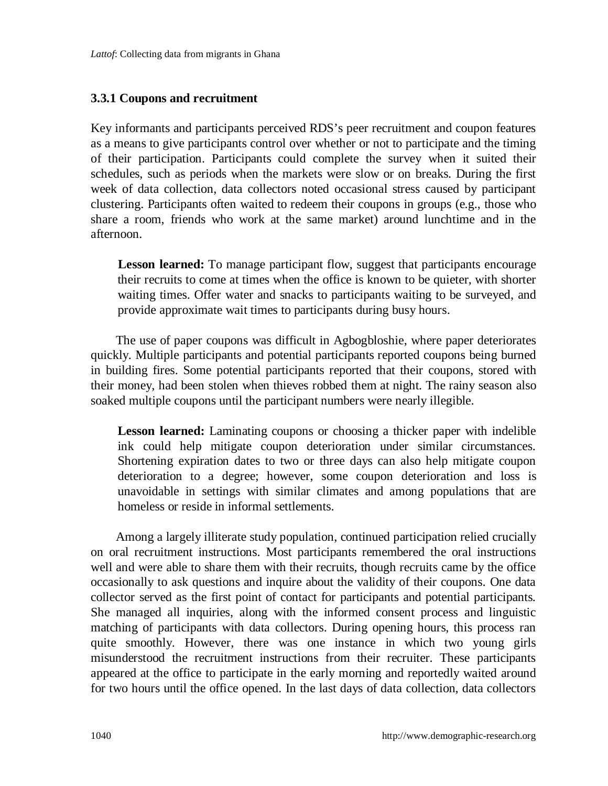#### **3.3.1 Coupons and recruitment**

Key informants and participants perceived RDS's peer recruitment and coupon features as a means to give participants control over whether or not to participate and the timing of their participation. Participants could complete the survey when it suited their schedules, such as periods when the markets were slow or on breaks. During the first week of data collection, data collectors noted occasional stress caused by participant clustering. Participants often waited to redeem their coupons in groups (e.g., those who share a room, friends who work at the same market) around lunchtime and in the afternoon.

**Lesson learned:** To manage participant flow, suggest that participants encourage their recruits to come at times when the office is known to be quieter, with shorter waiting times. Offer water and snacks to participants waiting to be surveyed, and provide approximate wait times to participants during busy hours.

The use of paper coupons was difficult in Agbogbloshie, where paper deteriorates quickly. Multiple participants and potential participants reported coupons being burned in building fires. Some potential participants reported that their coupons, stored with their money, had been stolen when thieves robbed them at night. The rainy season also soaked multiple coupons until the participant numbers were nearly illegible.

**Lesson learned:** Laminating coupons or choosing a thicker paper with indelible ink could help mitigate coupon deterioration under similar circumstances. Shortening expiration dates to two or three days can also help mitigate coupon deterioration to a degree; however, some coupon deterioration and loss is unavoidable in settings with similar climates and among populations that are homeless or reside in informal settlements.

Among a largely illiterate study population, continued participation relied crucially on oral recruitment instructions. Most participants remembered the oral instructions well and were able to share them with their recruits, though recruits came by the office occasionally to ask questions and inquire about the validity of their coupons. One data collector served as the first point of contact for participants and potential participants. She managed all inquiries, along with the informed consent process and linguistic matching of participants with data collectors. During opening hours, this process ran quite smoothly. However, there was one instance in which two young girls misunderstood the recruitment instructions from their recruiter. These participants appeared at the office to participate in the early morning and reportedly waited around for two hours until the office opened. In the last days of data collection, data collectors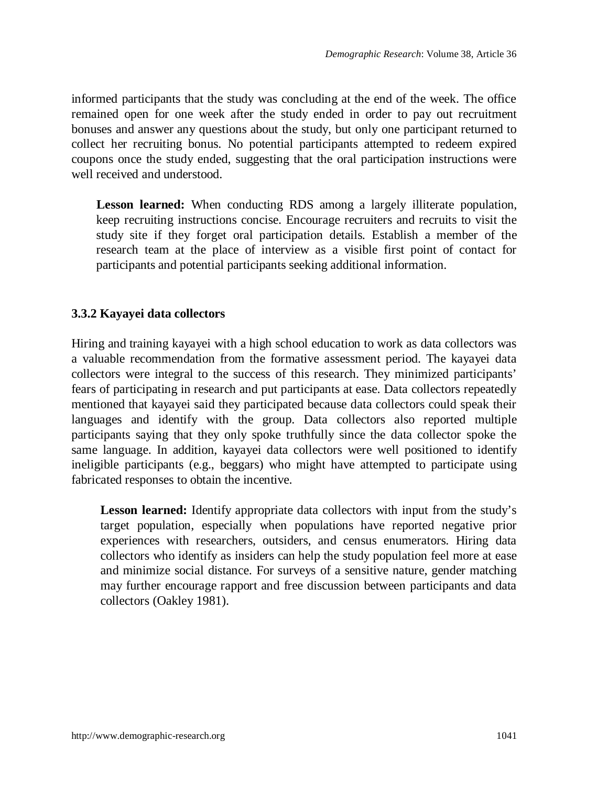informed participants that the study was concluding at the end of the week. The office remained open for one week after the study ended in order to pay out recruitment bonuses and answer any questions about the study, but only one participant returned to collect her recruiting bonus. No potential participants attempted to redeem expired coupons once the study ended, suggesting that the oral participation instructions were well received and understood.

Lesson learned: When conducting RDS among a largely illiterate population, keep recruiting instructions concise. Encourage recruiters and recruits to visit the study site if they forget oral participation details. Establish a member of the research team at the place of interview as a visible first point of contact for participants and potential participants seeking additional information.

#### **3.3.2 Kayayei data collectors**

Hiring and training kayayei with a high school education to work as data collectors was a valuable recommendation from the formative assessment period. The kayayei data collectors were integral to the success of this research. They minimized participants' fears of participating in research and put participants at ease. Data collectors repeatedly mentioned that kayayei said they participated because data collectors could speak their languages and identify with the group. Data collectors also reported multiple participants saying that they only spoke truthfully since the data collector spoke the same language. In addition, kayayei data collectors were well positioned to identify ineligible participants (e.g., beggars) who might have attempted to participate using fabricated responses to obtain the incentive.

**Lesson learned:** Identify appropriate data collectors with input from the study's target population, especially when populations have reported negative prior experiences with researchers, outsiders, and census enumerators. Hiring data collectors who identify as insiders can help the study population feel more at ease and minimize social distance. For surveys of a sensitive nature, gender matching may further encourage rapport and free discussion between participants and data collectors (Oakley 1981).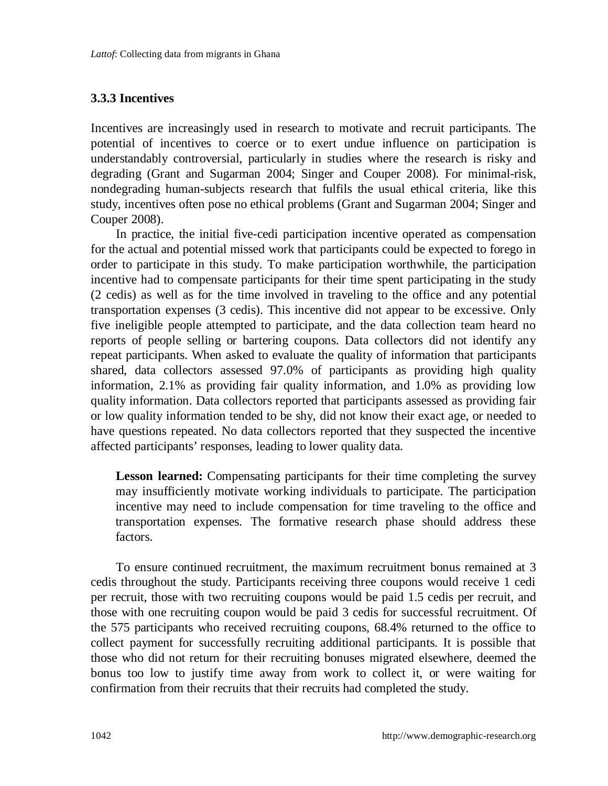#### **3.3.3 Incentives**

Incentives are increasingly used in research to motivate and recruit participants. The potential of incentives to coerce or to exert undue influence on participation is understandably controversial, particularly in studies where the research is risky and degrading (Grant and Sugarman 2004; Singer and Couper 2008). For minimal-risk, nondegrading human-subjects research that fulfils the usual ethical criteria, like this study, incentives often pose no ethical problems (Grant and Sugarman 2004; Singer and Couper 2008).

In practice, the initial five-cedi participation incentive operated as compensation for the actual and potential missed work that participants could be expected to forego in order to participate in this study. To make participation worthwhile, the participation incentive had to compensate participants for their time spent participating in the study (2 cedis) as well as for the time involved in traveling to the office and any potential transportation expenses (3 cedis). This incentive did not appear to be excessive. Only five ineligible people attempted to participate, and the data collection team heard no reports of people selling or bartering coupons. Data collectors did not identify any repeat participants. When asked to evaluate the quality of information that participants shared, data collectors assessed 97.0% of participants as providing high quality information, 2.1% as providing fair quality information, and 1.0% as providing low quality information. Data collectors reported that participants assessed as providing fair or low quality information tended to be shy, did not know their exact age, or needed to have questions repeated. No data collectors reported that they suspected the incentive affected participants' responses, leading to lower quality data.

**Lesson learned:** Compensating participants for their time completing the survey may insufficiently motivate working individuals to participate. The participation incentive may need to include compensation for time traveling to the office and transportation expenses. The formative research phase should address these factors.

To ensure continued recruitment, the maximum recruitment bonus remained at 3 cedis throughout the study. Participants receiving three coupons would receive 1 cedi per recruit, those with two recruiting coupons would be paid 1.5 cedis per recruit, and those with one recruiting coupon would be paid 3 cedis for successful recruitment. Of the 575 participants who received recruiting coupons, 68.4% returned to the office to collect payment for successfully recruiting additional participants. It is possible that those who did not return for their recruiting bonuses migrated elsewhere, deemed the bonus too low to justify time away from work to collect it, or were waiting for confirmation from their recruits that their recruits had completed the study.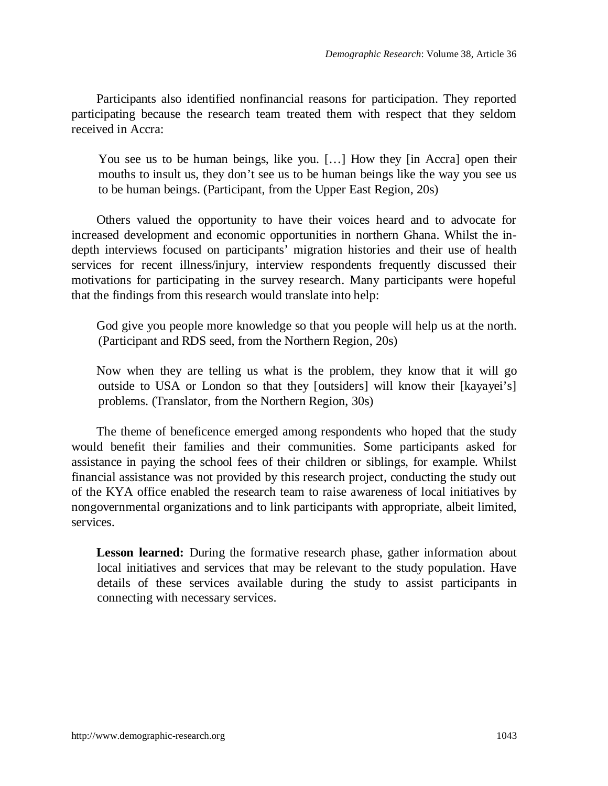Participants also identified nonfinancial reasons for participation. They reported participating because the research team treated them with respect that they seldom received in Accra:

You see us to be human beings, like you. [...] How they [in Accra] open their mouths to insult us, they don't see us to be human beings like the way you see us to be human beings. (Participant, from the Upper East Region, 20s)

Others valued the opportunity to have their voices heard and to advocate for increased development and economic opportunities in northern Ghana. Whilst the indepth interviews focused on participants' migration histories and their use of health services for recent illness/injury, interview respondents frequently discussed their motivations for participating in the survey research. Many participants were hopeful that the findings from this research would translate into help:

God give you people more knowledge so that you people will help us at the north. (Participant and RDS seed, from the Northern Region, 20s)

Now when they are telling us what is the problem, they know that it will go outside to USA or London so that they [outsiders] will know their [kayayei's] problems. (Translator, from the Northern Region, 30s)

The theme of beneficence emerged among respondents who hoped that the study would benefit their families and their communities. Some participants asked for assistance in paying the school fees of their children or siblings, for example. Whilst financial assistance was not provided by this research project, conducting the study out of the KYA office enabled the research team to raise awareness of local initiatives by nongovernmental organizations and to link participants with appropriate, albeit limited, services.

**Lesson learned:** During the formative research phase, gather information about local initiatives and services that may be relevant to the study population. Have details of these services available during the study to assist participants in connecting with necessary services.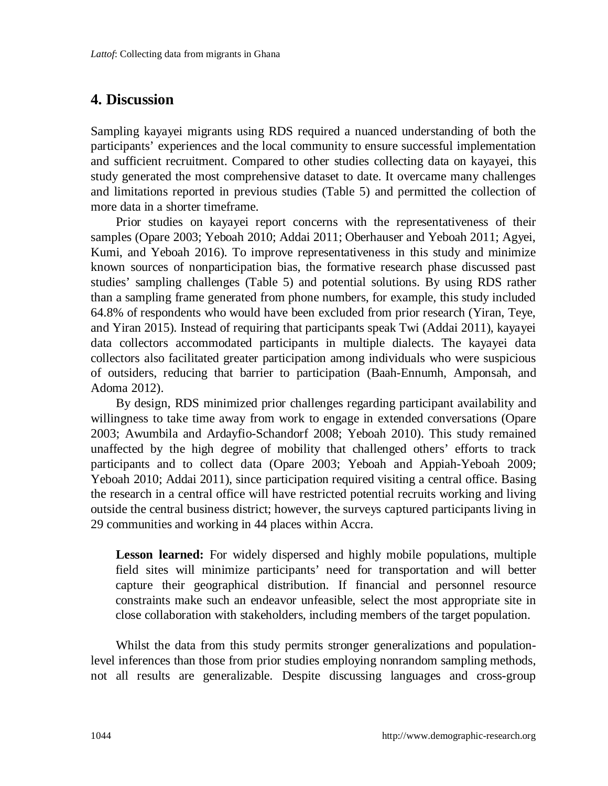## **4. Discussion**

Sampling kayayei migrants using RDS required a nuanced understanding of both the participants' experiences and the local community to ensure successful implementation and sufficient recruitment. Compared to other studies collecting data on kayayei, this study generated the most comprehensive dataset to date. It overcame many challenges and limitations reported in previous studies (Table 5) and permitted the collection of more data in a shorter timeframe.

Prior studies on kayayei report concerns with the representativeness of their samples (Opare 2003; Yeboah 2010; Addai 2011; Oberhauser and Yeboah 2011; Agyei, Kumi, and Yeboah 2016). To improve representativeness in this study and minimize known sources of nonparticipation bias, the formative research phase discussed past studies' sampling challenges (Table 5) and potential solutions. By using RDS rather than a sampling frame generated from phone numbers, for example, this study included 64.8% of respondents who would have been excluded from prior research (Yiran, Teye, and Yiran 2015). Instead of requiring that participants speak Twi (Addai 2011), kayayei data collectors accommodated participants in multiple dialects. The kayayei data collectors also facilitated greater participation among individuals who were suspicious of outsiders, reducing that barrier to participation (Baah-Ennumh, Amponsah, and Adoma 2012).

By design, RDS minimized prior challenges regarding participant availability and willingness to take time away from work to engage in extended conversations (Opare 2003; Awumbila and Ardayfio-Schandorf 2008; Yeboah 2010). This study remained unaffected by the high degree of mobility that challenged others' efforts to track participants and to collect data (Opare 2003; Yeboah and Appiah-Yeboah 2009; Yeboah 2010; Addai 2011), since participation required visiting a central office. Basing the research in a central office will have restricted potential recruits working and living outside the central business district; however, the surveys captured participants living in 29 communities and working in 44 places within Accra.

**Lesson learned:** For widely dispersed and highly mobile populations, multiple field sites will minimize participants' need for transportation and will better capture their geographical distribution. If financial and personnel resource constraints make such an endeavor unfeasible, select the most appropriate site in close collaboration with stakeholders, including members of the target population.

Whilst the data from this study permits stronger generalizations and populationlevel inferences than those from prior studies employing nonrandom sampling methods, not all results are generalizable. Despite discussing languages and cross-group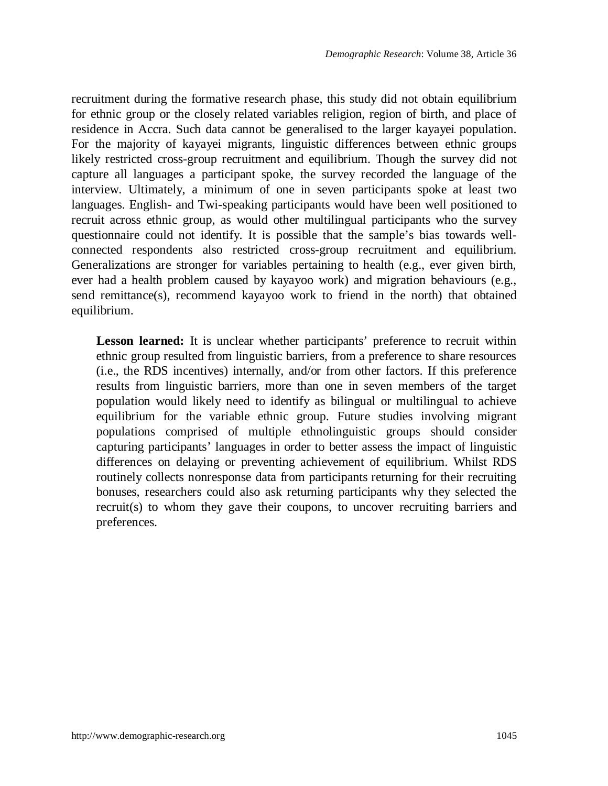recruitment during the formative research phase, this study did not obtain equilibrium for ethnic group or the closely related variables religion, region of birth, and place of residence in Accra. Such data cannot be generalised to the larger kayayei population. For the majority of kayayei migrants, linguistic differences between ethnic groups likely restricted cross-group recruitment and equilibrium. Though the survey did not capture all languages a participant spoke, the survey recorded the language of the interview. Ultimately, a minimum of one in seven participants spoke at least two languages. English- and Twi-speaking participants would have been well positioned to recruit across ethnic group, as would other multilingual participants who the survey questionnaire could not identify. It is possible that the sample's bias towards wellconnected respondents also restricted cross-group recruitment and equilibrium. Generalizations are stronger for variables pertaining to health (e.g., ever given birth, ever had a health problem caused by kayayoo work) and migration behaviours (e.g., send remittance(s), recommend kayayoo work to friend in the north) that obtained equilibrium.

**Lesson learned:** It is unclear whether participants' preference to recruit within ethnic group resulted from linguistic barriers, from a preference to share resources (i.e., the RDS incentives) internally, and/or from other factors. If this preference results from linguistic barriers, more than one in seven members of the target population would likely need to identify as bilingual or multilingual to achieve equilibrium for the variable ethnic group. Future studies involving migrant populations comprised of multiple ethnolinguistic groups should consider capturing participants' languages in order to better assess the impact of linguistic differences on delaying or preventing achievement of equilibrium. Whilst RDS routinely collects nonresponse data from participants returning for their recruiting bonuses, researchers could also ask returning participants why they selected the recruit(s) to whom they gave their coupons, to uncover recruiting barriers and preferences.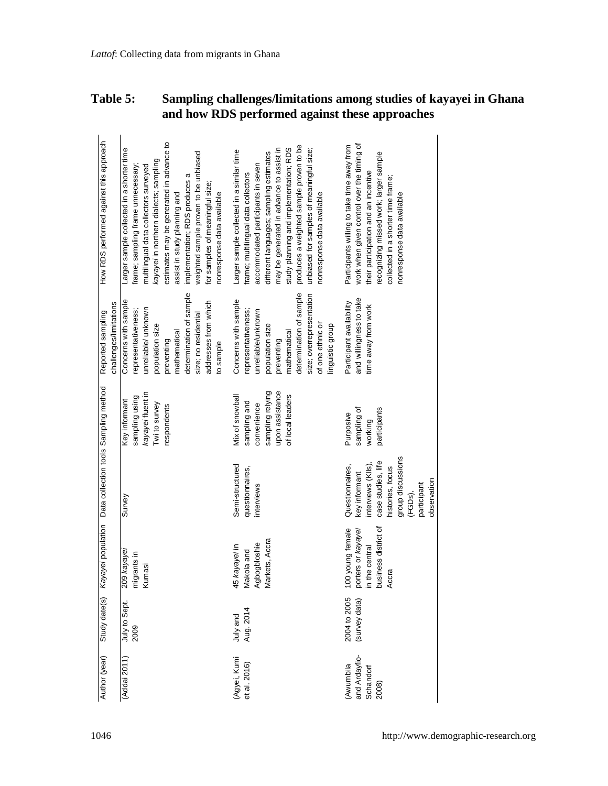| <b>Table 5:</b> | Sampling challenges/limitations among studies of kayayei in Ghana |
|-----------------|-------------------------------------------------------------------|
|                 | and how RDS performed against these approaches                    |

| Author (year)                                     |                               | Study date(s) Kayayei population Data collection tools Sampling method                   |                                                                                                                                                                |                                                                                                           | challenges/limitations<br>Reported sampling                                                                                                                                                                      | How RDS performed against this approach                                                                                                                                                                                                                                                                                                                                                   |
|---------------------------------------------------|-------------------------------|------------------------------------------------------------------------------------------|----------------------------------------------------------------------------------------------------------------------------------------------------------------|-----------------------------------------------------------------------------------------------------------|------------------------------------------------------------------------------------------------------------------------------------------------------------------------------------------------------------------|-------------------------------------------------------------------------------------------------------------------------------------------------------------------------------------------------------------------------------------------------------------------------------------------------------------------------------------------------------------------------------------------|
| (Addai 2011)                                      | July to Sept.<br>2009         | 209 kayayei<br>migrants in<br>Kumasi                                                     | Survey                                                                                                                                                         | kayayei fluent in<br>sampling using<br>Key informant<br>Twi to survey<br>respondents                      | determination of sample<br>Concerns with sample<br>addresses from which<br>unreliable/ unknown<br>epresentativeness;<br>size; no residential<br>population size<br>mathematical<br>preventing<br>to sample       | estimates may be generated in advance to<br>Larger sample collected in a shorter time<br>weighted sample proven to be unbiased<br>kayayei in northern dialects; sampling<br>frame; sampling frame unnecessary;<br>multilingual data collectors surveyed<br>implementation; RDS produces a<br>or samples of meaningful size;<br>nonresponse data available<br>assist in study planning and |
| (Agyei, Kumi<br>et al. 2016)                      | Aug. 2014<br>July and         | Markets, Accra<br>Agbogbloshie<br>45 kayayei in<br>Makola and                            | Semi-structured<br>questionnaires,<br>interviews                                                                                                               | sampling relying<br>upon assistance<br>Mix of snowball<br>of local leaders<br>sampling and<br>convenience | determination of sample<br>size; overrepresentation<br>Concerns with sample<br>epresentativeness;<br>unreliable/unknown<br>of one ethnic or<br>population size<br>linguistic group<br>nathematical<br>preventing | produces a weighted sample proven to be<br>may be generated in advance to assist in<br>study planning and implementation; RDS<br>unbiased for samples of meaningful size;<br>Larger sample collected in a similar time<br>different languages; sampling estimates<br>accommodated participants in seven<br>frame; multilingual data collectors<br>nonresponse data available              |
| and Ardayfio-<br>(Aw umbila<br>Schandorf<br>2008) | 2004 to 2005<br>(survey data) | business district of<br>porters or kayayei<br>100 young female<br>n the central<br>Accra | group discussions<br>case studies, life<br>interviews (Klls),<br>Questionnaires,<br>histories, focus<br>key informant<br>observation<br>participant<br>(FGDs), | participants<br>sampling of<br>Purposive<br>working                                                       | and willingness to take<br>Participant availability<br>ime away from work                                                                                                                                        | work when given control over the timing of<br>Participants willing to take time away from<br>recognizing missed work; larger sample<br>their participation and an incentive<br>collected in a shorter time frame;<br>nonresponse data available                                                                                                                                           |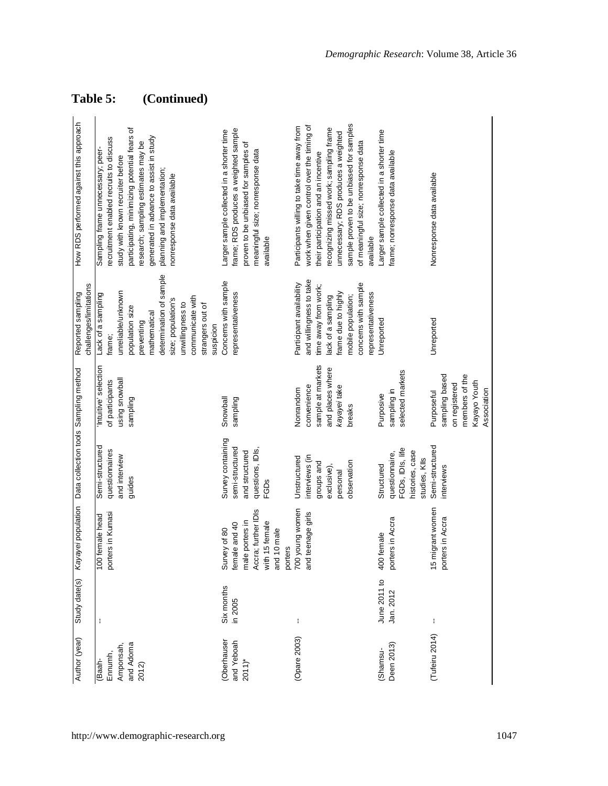| Author (year)       | Study date(s)     |                                      | Kayayei population Data collection tools Sampling method |                                          | Reported sampling             | How RDS performed against this approach                                        |
|---------------------|-------------------|--------------------------------------|----------------------------------------------------------|------------------------------------------|-------------------------------|--------------------------------------------------------------------------------|
|                     |                   |                                      |                                                          |                                          | challenges/limitations        |                                                                                |
| Ennumh,<br>(Baah-   | ÷                 | porters in Kumasi<br>100 female head | Semi-structured<br>questionnaires                        | 'Intuitive' selection<br>of participants | Lack of a sampling<br>rame;   | recruitment enabled recruits to discuss<br>Sampling frame unnecessary; peer-   |
| Amponsah,           |                   |                                      | and interview                                            | using snowball                           | unreliable/unknown            | study with known recruiter before                                              |
| and Adoma           |                   |                                      | guides                                                   | sampling                                 | population size               | participating, minimizing potential fears of                                   |
| 2012)               |                   |                                      |                                                          |                                          | mathematical<br>preventing    | generated in advance to assist in study<br>research; sampling estimates may be |
|                     |                   |                                      |                                                          |                                          | determination of sample       | planning and implementation;                                                   |
|                     |                   |                                      |                                                          |                                          | size; population's            | nonresponse data available                                                     |
|                     |                   |                                      |                                                          |                                          | unwillingness to              |                                                                                |
|                     |                   |                                      |                                                          |                                          | communicate with              |                                                                                |
|                     |                   |                                      |                                                          |                                          | strangers out of<br>suspicion |                                                                                |
| Oberhauser          | <b>Six months</b> | Survey of 80                         | Survey containing                                        | Snowball                                 | Concerns with sample          | Larger sample collected in a shorter time                                      |
| and Yeboah          | in 2005           | female and 40                        | semi-structured                                          | sampling                                 | representativeness            | frame; RDS produces a weighted sample                                          |
| $2011$ <sup>*</sup> |                   | male porters in                      | and structured                                           |                                          |                               | proven to be unbiased for samples of                                           |
|                     |                   | Accra; further IDIs                  | questions, IDIs,                                         |                                          |                               | meaningful size; nonresponse data                                              |
|                     |                   | with 15 female                       | <b>FGDs</b>                                              |                                          |                               | available                                                                      |
|                     |                   | and 10 male<br>porters               |                                                          |                                          |                               |                                                                                |
| Opare 2003)         | t                 | 700 young women                      | Unstructured                                             | Nonrandom                                | Participant availability      | Participants willing to take time away from                                    |
|                     |                   | and teenage girls                    | interviews (in                                           | convenience                              | and willingness to take       | work when given control over the timing of                                     |
|                     |                   |                                      | groups and                                               | sample at markets                        | ime away from work;           | their participation and an incentive                                           |
|                     |                   |                                      | exclusive),                                              | and places where                         | ack of a sampling             | recognizing missed work; sampling frame                                        |
|                     |                   |                                      | personal                                                 | kayayei take                             | rame due to highly            | unnecessary; RDS produces a weighted                                           |
|                     |                   |                                      | observation                                              | breaks                                   | mobile population;            | sample proven to be unbiased for samples                                       |
|                     |                   |                                      |                                                          |                                          | concerns with sample          | of meaningful size; nonresponse data                                           |
| Shamsu-             | June 2011 to      | 400 female                           | Structured                                               |                                          | epresentativeness             | Larger sample collected in a shorter time<br>available                         |
|                     |                   |                                      |                                                          | Purposive                                | Unreported                    |                                                                                |
| Deen 2013)          | Jan. 2012         | porters in Accra                     | FGDs, IDIs, life<br>questionnaire,                       | selected markets<br>sampling in          |                               | frame; nonresponse data available                                              |
|                     |                   |                                      | histories, case                                          |                                          |                               |                                                                                |
|                     |                   |                                      | studies, Klls                                            |                                          |                               |                                                                                |
| Tufeiru 2014)       | ŧ                 | 15 migrant women                     | Semi-structured                                          | Purposeful                               | Unreported                    | Nonresponse data available                                                     |
|                     |                   | porters in Accra                     | interviews                                               | sampling based                           |                               |                                                                                |
|                     |                   |                                      |                                                          | on registered                            |                               |                                                                                |
|                     |                   |                                      |                                                          | members of the                           |                               |                                                                                |
|                     |                   |                                      |                                                          | Kayayo Youth                             |                               |                                                                                |
|                     |                   |                                      |                                                          | Association                              |                               |                                                                                |

## **Table 5: (Continued)**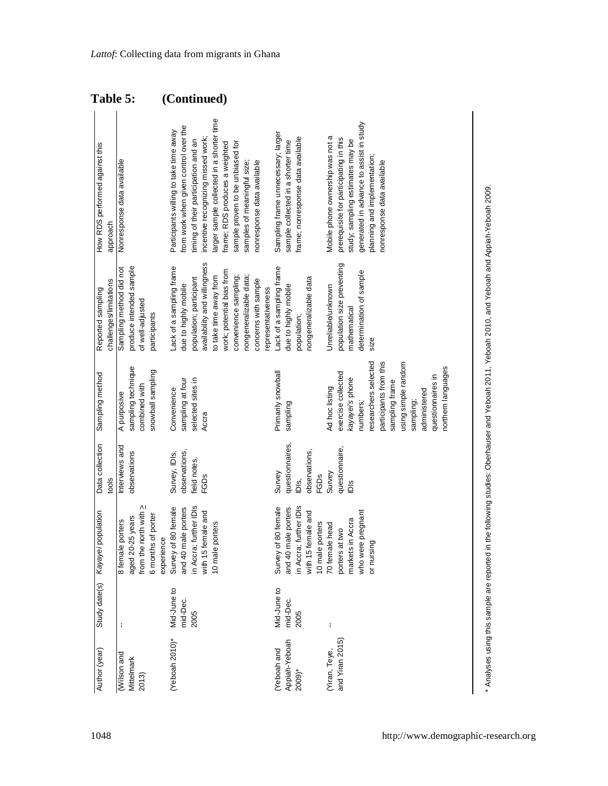| Table 5:                                    |                                                                                        | (Continued)                                                                                                                                                                                                                                                                                                                                   |                                                                                                               |                                                                                                                                                                                                                                        |
|---------------------------------------------|----------------------------------------------------------------------------------------|-----------------------------------------------------------------------------------------------------------------------------------------------------------------------------------------------------------------------------------------------------------------------------------------------------------------------------------------------|---------------------------------------------------------------------------------------------------------------|----------------------------------------------------------------------------------------------------------------------------------------------------------------------------------------------------------------------------------------|
| How RDS performed against this<br>approach  | Nonresponse data available                                                             | larger sample collected in a shorter time<br>from work when given control over the<br>Participants willing to take time away<br>incentive recognizing missed work;<br>timing of their participation and an<br>frame; RDS produces a weighted<br>sample proven to be unbiased for<br>nonresponse data available<br>samples of meaningful size; | Sampling frame unnecessary; larger<br>frame; nonresponse data available<br>sample collected in a shorter time | generated in advance to assist in study<br>Mobile phone ownership was not a<br>prerequisite for participating in this<br>study; sampling estimates may be<br>planning and implementation;<br>nonresponse data available                |
| challenges/limitations<br>Reported sampling | produce intended sample<br>Sampling method did not<br>of well-adjusted<br>participants | availability and willingness<br>Lack of a sampling frame<br>work; potential bias from<br>to take time away from<br>convenience sampling;<br>nongeneralizable data;<br>population; participant<br>concerns with sample<br>due to highly mobile<br>representativeness                                                                           | Lack of a sampling frame<br>nongeneralizable data<br>due to highly mobile<br>population;                      | population size preventing<br>determination of sample<br>Unreliable/unknown<br>mathematical<br>size                                                                                                                                    |
| Sampling method                             | sampling technique<br>snowball sampling<br>combined with<br>A purposive                | sampling at four<br>selected sites in<br>Convenience<br>Accra                                                                                                                                                                                                                                                                                 | Primarily snowball<br>sampling                                                                                | researchers selected<br>using simple random<br>participants from this<br>northern languages<br>exercise collected<br>questionnaires in<br>kayayei's phone<br>sampling frame<br>Ad hoc listing<br>administered<br>numbers;<br>sampling; |
| Data collection<br>tools                    | Interviews and<br>observations                                                         | observations,<br>Survey, IDIs,<br>Teld notes,<br><b>FGDs</b>                                                                                                                                                                                                                                                                                  | questionnaires,<br>observations,<br>Survey<br><b>FGDs</b><br>iDis,                                            | questionnaire,<br>Survey<br>$\frac{8}{2}$                                                                                                                                                                                              |
| Kayayei population                          | from the north with ><br>6 months of porter<br>aged 20-25 years<br>8 female porters    | Survey of 80 female<br>in Accra; further IDIs<br>and 40 male porters<br>with 15 female and<br>10 male porters<br>experience                                                                                                                                                                                                                   | Survey of 80 female<br>in Accra; further IDIs<br>and 40 male porters<br>with 15 female and<br>10 male porters | who were pregnant<br>markets in Accra<br>70 female head<br>porters at two<br>or nursing                                                                                                                                                |
| Study date(s)                               |                                                                                        | Mid-June to<br>mid-Dec.<br>2005                                                                                                                                                                                                                                                                                                               | Mid-June to<br>mid-Dec.<br>2005                                                                               | ł                                                                                                                                                                                                                                      |
| Author (year)                               | Wilson and<br>Mittelmark<br>2013)                                                      | (Yeboah 2010)*                                                                                                                                                                                                                                                                                                                                | Appiah-Yeboah<br>(Yeboah and<br>$2009$ <sup>*</sup>                                                           | and Yiran 2015)<br>(Yiran, Teye,                                                                                                                                                                                                       |

\* Analyses using this sample are reported in the following studies: Oberhauser and Yeboah 2011, Yeboah 2010, and Yeboah and Appiah-Yeboah 2009. Analyses using this sample are reported in the following studies: Oberhauser and Yeboah 2011, Yeboah 2010, and Yeboah and Appiah-Yeboah 2009.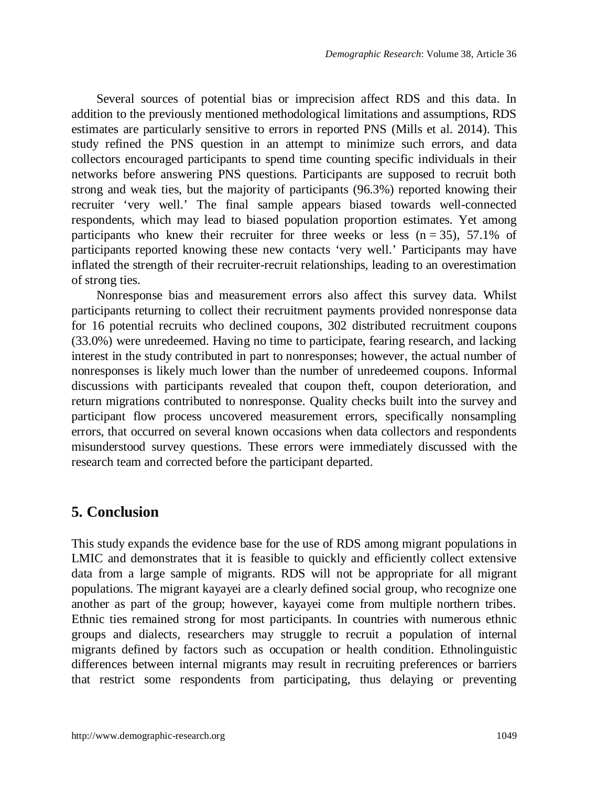Several sources of potential bias or imprecision affect RDS and this data. In addition to the previously mentioned methodological limitations and assumptions, RDS estimates are particularly sensitive to errors in reported PNS (Mills et al. 2014). This study refined the PNS question in an attempt to minimize such errors, and data collectors encouraged participants to spend time counting specific individuals in their networks before answering PNS questions. Participants are supposed to recruit both strong and weak ties, but the majority of participants (96.3%) reported knowing their recruiter 'very well.' The final sample appears biased towards well-connected respondents, which may lead to biased population proportion estimates. Yet among participants who knew their recruiter for three weeks or less  $(n = 35)$ , 57.1% of participants reported knowing these new contacts 'very well.' Participants may have inflated the strength of their recruiter-recruit relationships, leading to an overestimation of strong ties.

Nonresponse bias and measurement errors also affect this survey data. Whilst participants returning to collect their recruitment payments provided nonresponse data for 16 potential recruits who declined coupons, 302 distributed recruitment coupons (33.0%) were unredeemed. Having no time to participate, fearing research, and lacking interest in the study contributed in part to nonresponses; however, the actual number of nonresponses is likely much lower than the number of unredeemed coupons. Informal discussions with participants revealed that coupon theft, coupon deterioration, and return migrations contributed to nonresponse. Quality checks built into the survey and participant flow process uncovered measurement errors, specifically nonsampling errors, that occurred on several known occasions when data collectors and respondents misunderstood survey questions. These errors were immediately discussed with the research team and corrected before the participant departed.

## **5. Conclusion**

This study expands the evidence base for the use of RDS among migrant populations in LMIC and demonstrates that it is feasible to quickly and efficiently collect extensive data from a large sample of migrants. RDS will not be appropriate for all migrant populations. The migrant kayayei are a clearly defined social group, who recognize one another as part of the group; however, kayayei come from multiple northern tribes. Ethnic ties remained strong for most participants. In countries with numerous ethnic groups and dialects, researchers may struggle to recruit a population of internal migrants defined by factors such as occupation or health condition. Ethnolinguistic differences between internal migrants may result in recruiting preferences or barriers that restrict some respondents from participating, thus delaying or preventing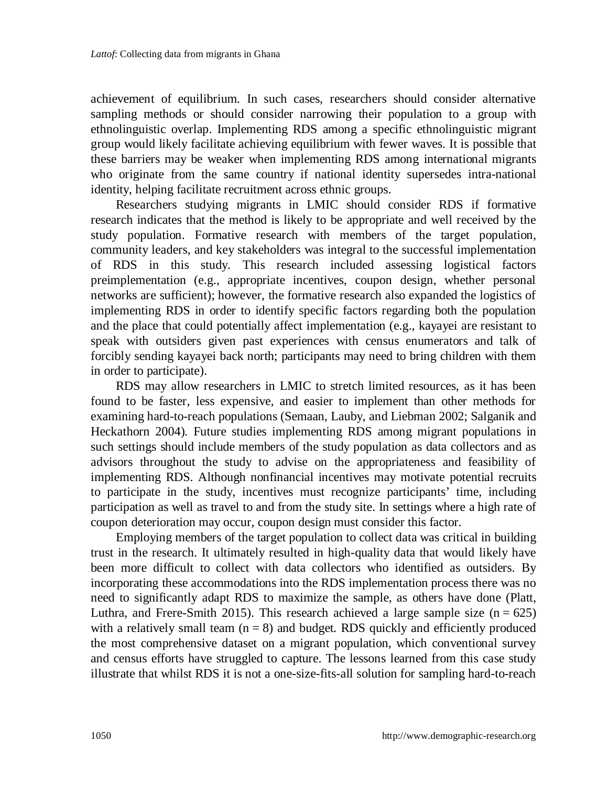achievement of equilibrium. In such cases, researchers should consider alternative sampling methods or should consider narrowing their population to a group with ethnolinguistic overlap. Implementing RDS among a specific ethnolinguistic migrant group would likely facilitate achieving equilibrium with fewer waves. It is possible that these barriers may be weaker when implementing RDS among international migrants who originate from the same country if national identity supersedes intra-national identity, helping facilitate recruitment across ethnic groups.

Researchers studying migrants in LMIC should consider RDS if formative research indicates that the method is likely to be appropriate and well received by the study population. Formative research with members of the target population, community leaders, and key stakeholders was integral to the successful implementation of RDS in this study. This research included assessing logistical factors preimplementation (e.g., appropriate incentives, coupon design, whether personal networks are sufficient); however, the formative research also expanded the logistics of implementing RDS in order to identify specific factors regarding both the population and the place that could potentially affect implementation (e.g., kayayei are resistant to speak with outsiders given past experiences with census enumerators and talk of forcibly sending kayayei back north; participants may need to bring children with them in order to participate).

RDS may allow researchers in LMIC to stretch limited resources, as it has been found to be faster, less expensive, and easier to implement than other methods for examining hard-to-reach populations (Semaan, Lauby, and Liebman 2002; Salganik and Heckathorn 2004). Future studies implementing RDS among migrant populations in such settings should include members of the study population as data collectors and as advisors throughout the study to advise on the appropriateness and feasibility of implementing RDS. Although nonfinancial incentives may motivate potential recruits to participate in the study, incentives must recognize participants' time, including participation as well as travel to and from the study site. In settings where a high rate of coupon deterioration may occur, coupon design must consider this factor.

Employing members of the target population to collect data was critical in building trust in the research. It ultimately resulted in high-quality data that would likely have been more difficult to collect with data collectors who identified as outsiders. By incorporating these accommodations into the RDS implementation process there was no need to significantly adapt RDS to maximize the sample, as others have done (Platt, Luthra, and Frere-Smith 2015). This research achieved a large sample size ( $n = 625$ ) with a relatively small team  $(n = 8)$  and budget. RDS quickly and efficiently produced the most comprehensive dataset on a migrant population, which conventional survey and census efforts have struggled to capture. The lessons learned from this case study illustrate that whilst RDS it is not a one-size-fits-all solution for sampling hard-to-reach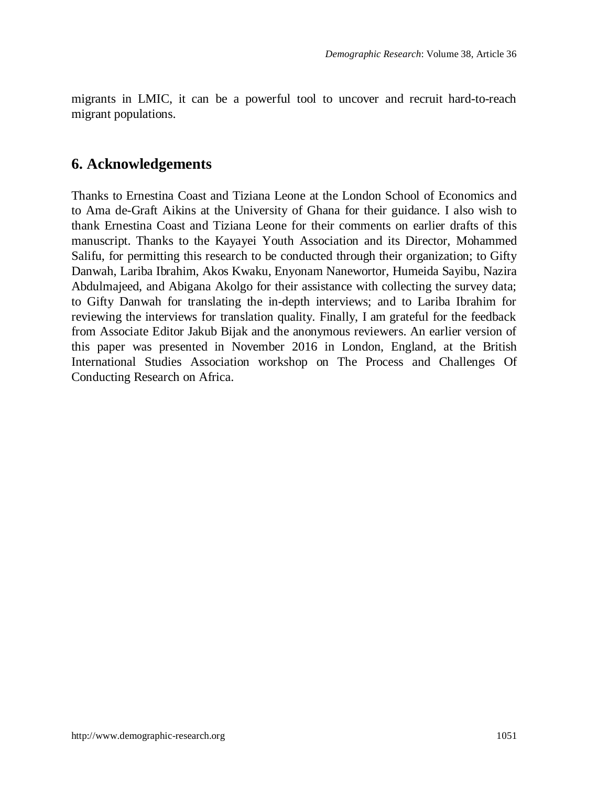migrants in LMIC, it can be a powerful tool to uncover and recruit hard-to-reach migrant populations.

## **6. Acknowledgements**

Thanks to Ernestina Coast and Tiziana Leone at the London School of Economics and to Ama de-Graft Aikins at the University of Ghana for their guidance. I also wish to thank Ernestina Coast and Tiziana Leone for their comments on earlier drafts of this manuscript. Thanks to the Kayayei Youth Association and its Director, Mohammed Salifu, for permitting this research to be conducted through their organization; to Gifty Danwah, Lariba Ibrahim, Akos Kwaku, Enyonam Nanewortor, Humeida Sayibu, Nazira Abdulmajeed, and Abigana Akolgo for their assistance with collecting the survey data; to Gifty Danwah for translating the in-depth interviews; and to Lariba Ibrahim for reviewing the interviews for translation quality. Finally, I am grateful for the feedback from Associate Editor Jakub Bijak and the anonymous reviewers. An earlier version of this paper was presented in November 2016 in London, England, at the British International Studies Association workshop on The Process and Challenges Of Conducting Research on Africa.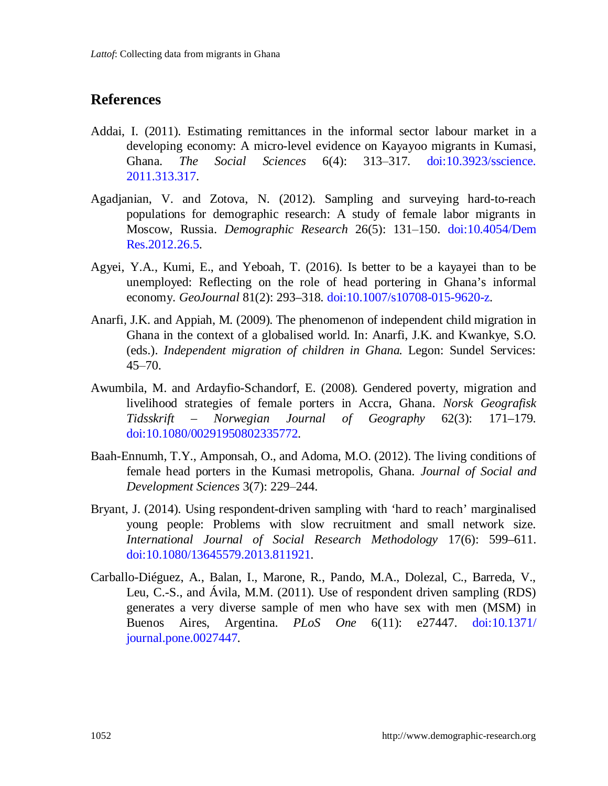## **References**

- Addai, I. (2011). Estimating remittances in the informal sector labour market in a developing economy: A micro-level evidence on Kayayoo migrants in Kumasi, Ghana. *The Social Sciences* 6(4): 313‒317. [doi:10.3923/sscience.](https://doi.org/10.3923/sscience.2011.313.317) [2011.313.317.](https://doi.org/10.3923/sscience.2011.313.317)
- Agadjanian, V. and Zotova, N. (2012). Sampling and surveying hard-to-reach populations for demographic research: A study of female labor migrants in Moscow, Russia. *Demographic Research* 26(5): 131‒150. [doi:10.4054/Dem](https://doi.org/10.4054/DemRes.2012.26.5) [Res.2012.26.5.](https://doi.org/10.4054/DemRes.2012.26.5)
- Agyei, Y.A., Kumi, E., and Yeboah, T. (2016). Is better to be a kayayei than to be unemployed: Reflecting on the role of head portering in Ghana's informal economy. *GeoJournal* 81(2): 293–318. [doi:10.1007/s10708-015-9620-z.](https://doi.org/10.1007/s10708-015-9620-z)
- Anarfi, J.K. and Appiah, M. (2009). The phenomenon of independent child migration in Ghana in the context of a globalised world. In: Anarfi, J.K. and Kwankye, S.O. (eds.). *Independent migration of children in Ghana.* Legon: Sundel Services:  $45 - 70.$
- Awumbila, M. and Ardayfio-Schandorf, E. (2008). Gendered poverty, migration and livelihood strategies of female porters in Accra, Ghana. *Norsk Geografisk Tidsskrift – Norwegian Journal of Geography* 62(3): 171–179. [doi:10.1080/00291950802335772.](https://doi.org/10.1080/00291950802335772)
- Baah-Ennumh, T.Y., Amponsah, O., and Adoma, M.O. (2012). The living conditions of female head porters in the Kumasi metropolis, Ghana. *Journal of Social and Development Sciences* 3(7): 229‒244.
- Bryant, J. (2014). Using respondent-driven sampling with 'hard to reach' marginalised young people: Problems with slow recruitment and small network size. *International Journal of Social Research Methodology* 17(6): 599–611. [doi:10.1080/13645579.2013.811921.](https://doi.org/10.1080/13645579.2013.811921)
- Carballo-Diéguez, A., Balan, I., Marone, R., Pando, M.A., Dolezal, C., Barreda, V., Leu, C.-S., and Ávila, M.M. (2011). Use of respondent driven sampling (RDS) generates a very diverse sample of men who have sex with men (MSM) in Buenos Aires, Argentina. *PLoS One* 6(11): e27447. [doi:10.1371/](https://doi.org/10.1371/journal.pone.0027447) [journal.pone.0027447.](https://doi.org/10.1371/journal.pone.0027447)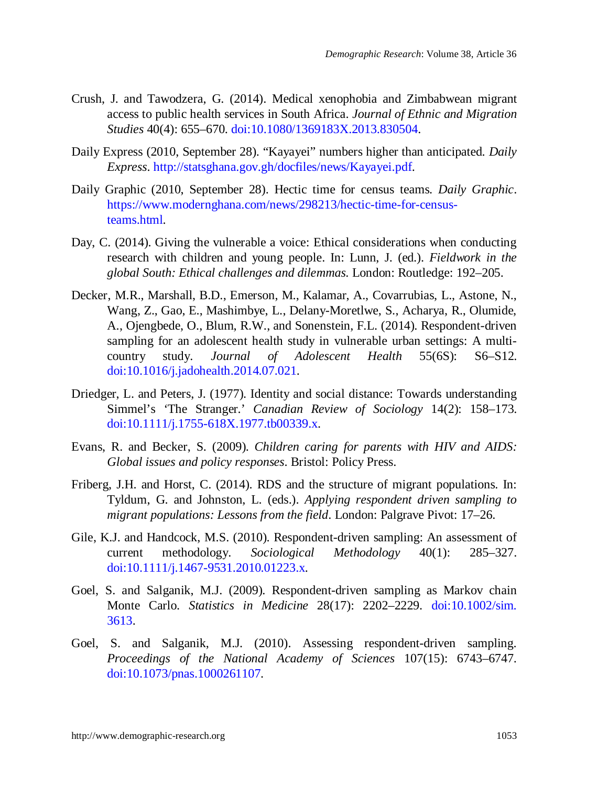- Crush, J. and Tawodzera, G. (2014). Medical xenophobia and Zimbabwean migrant access to public health services in South Africa. *Journal of Ethnic and Migration Studies* 40(4): 655–670. [doi:10.1080/1369183X.2013.830504.](https://doi.org/10.1080/1369183X.2013.830504)
- Daily Express (2010, September 28). "Kayayei" numbers higher than anticipated. *Daily Express*. [http://statsghana.gov.gh/docfiles/news/Kayayei.pdf.](http://statsghana.gov.gh/docfiles/news/Kayayei.pdf)
- Daily Graphic (2010, September 28). Hectic time for census teams. *Daily Graphic*. [https://www.modernghana.com/news/298213/hectic-time-for-census](https://www.modernghana.com/news/298213/hectic-time-for-census-teams.html)[teams.html.](https://www.modernghana.com/news/298213/hectic-time-for-census-teams.html)
- Day, C. (2014). Giving the vulnerable a voice: Ethical considerations when conducting research with children and young people. In: Lunn, J. (ed.). *Fieldwork in the global South: Ethical challenges and dilemmas*. London: Routledge: 192–205.
- Decker, M.R., Marshall, B.D., Emerson, M., Kalamar, A., Covarrubias, L., Astone, N., Wang, Z., Gao, E., Mashimbye, L., Delany-Moretlwe, S., Acharya, R., Olumide, A., Ojengbede, O., Blum, R.W., and Sonenstein, F.L. (2014). Respondent-driven sampling for an adolescent health study in vulnerable urban settings: A multicountry study. *Journal of Adolescent Health* 55(6S): S6–S12. [doi:10.1016/j.jadohealth.2014.07.021.](https://doi.org/10.1016/j.jadohealth.2014.07.021)
- Driedger, L. and Peters, J. (1977). Identity and social distance: Towards understanding Simmel's 'The Stranger.' *Canadian Review of Sociology* 14(2): 158–173. [doi:10.1111/j.1755-618X.1977.tb00339.x.](https://doi.org/10.1111/j.1755-618X.1977.tb00339.x)
- Evans, R. and Becker, S. (2009). *Children caring for parents with HIV and AIDS: Global issues and policy responses*. Bristol: Policy Press.
- Friberg, J.H. and Horst, C. (2014). RDS and the structure of migrant populations. In: Tyldum, G. and Johnston, L. (eds.). *Applying respondent driven sampling to migrant populations: Lessons from the field*. London: Palgrave Pivot: 17–26.
- Gile, K.J. and Handcock, M.S. (2010). Respondent-driven sampling: An assessment of current methodology. *Sociological Methodology* 40(1): 285–327. [doi:10.1111/j.1467-9531.2010.01223.x.](https://doi.org/10.1111/j.1467-9531.2010.01223.x)
- Goel, S. and Salganik, M.J. (2009). Respondent-driven sampling as Markov chain Monte Carlo. *Statistics in Medicine* 28(17): 2202–2229. [doi:10.1002/sim.](https://doi.org/10.1002/sim.3613) [3613.](https://doi.org/10.1002/sim.3613)
- Goel, S. and Salganik, M.J. (2010). Assessing respondent-driven sampling. *Proceedings of the National Academy of Sciences* 107(15): 6743–6747. [doi:10.1073/pnas.1000261107.](https://doi.org/10.1073/pnas.1000261107)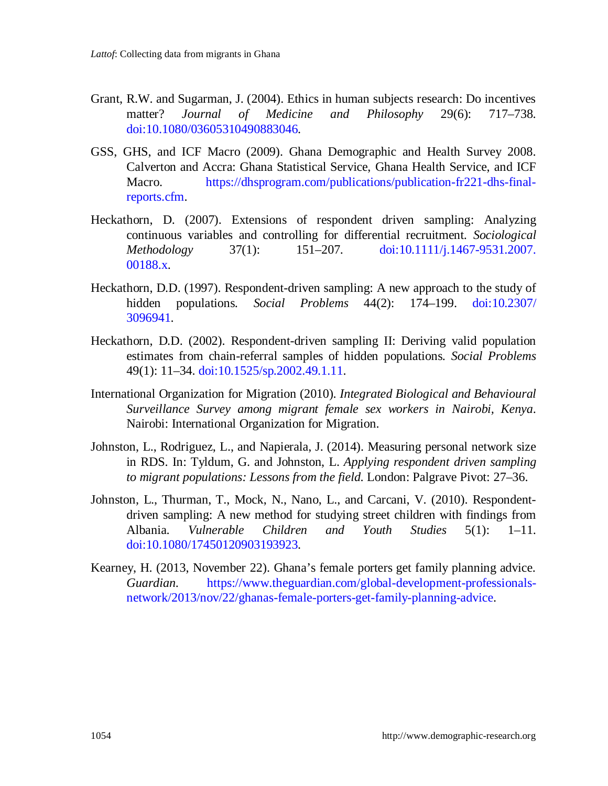- Grant, R.W. and Sugarman, J. (2004). Ethics in human subjects research: Do incentives matter? *Journal of Medicine and Philosophy* 29(6): 717–738. [doi:10.1080/03605310490883046.](https://doi.org/10.1080/03605310490883046)
- GSS, GHS, and ICF Macro (2009). Ghana Demographic and Health Survey 2008. Calverton and Accra: Ghana Statistical Service, Ghana Health Service, and ICF Macro. [https://dhsprogram.com/publications/publication-fr221-dhs-final](https://dhsprogram.com/publications/publication-fr221-dhs-final-reports.cfm)[reports.cfm.](https://dhsprogram.com/publications/publication-fr221-dhs-final-reports.cfm)
- Heckathorn, D. (2007). Extensions of respondent driven sampling: Analyzing continuous variables and controlling for differential recruitment. *Sociological Methodology* 37(1): 151–207. [doi:10.1111/j.1467-9531.2007.](https://doi.org/10.1111/j.1467-9531.2007.00188.x) [00188.x.](https://doi.org/10.1111/j.1467-9531.2007.00188.x)
- Heckathorn, D.D. (1997). Respondent-driven sampling: A new approach to the study of hidden populations. *Social Problems* 44(2): 174–199. [doi:10.2307/](https://doi.org/10.2307/3096941) [3096941.](https://doi.org/10.2307/3096941)
- Heckathorn, D.D. (2002). Respondent-driven sampling II: Deriving valid population estimates from chain-referral samples of hidden populations. *Social Problems* 49(1): 11–34. [doi:10.1525/sp.2002.49.1.11.](https://doi.org/10.1525/sp.2002.49.1.11)
- International Organization for Migration (2010). *Integrated Biological and Behavioural Surveillance Survey among migrant female sex workers in Nairobi, Kenya*. Nairobi: International Organization for Migration.
- Johnston, L., Rodriguez, L., and Napierala, J. (2014). Measuring personal network size in RDS. In: Tyldum, G. and Johnston, L. *Applying respondent driven sampling to migrant populations: Lessons from the field*. London: Palgrave Pivot: 27–36.
- Johnston, L., Thurman, T., Mock, N., Nano, L., and Carcani, V. (2010). Respondentdriven sampling: A new method for studying street children with findings from Albania. *Vulnerable Children and Youth Studies* 5(1): 1–11. [doi:10.1080/17450120903193923.](https://doi.org/10.1080/17450120903193923)
- Kearney, H. (2013, November 22). Ghana's female porters get family planning advice. *Guardian*. [https://www.theguardian.com/global-development-professionals](https://www.theguardian.com/global-development-professionals-network/2013/nov/22/ghanas-female-porters-get-family-planning-advice)[network/2013/nov/22/ghanas-female-porters-get-family-planning-advice.](https://www.theguardian.com/global-development-professionals-network/2013/nov/22/ghanas-female-porters-get-family-planning-advice)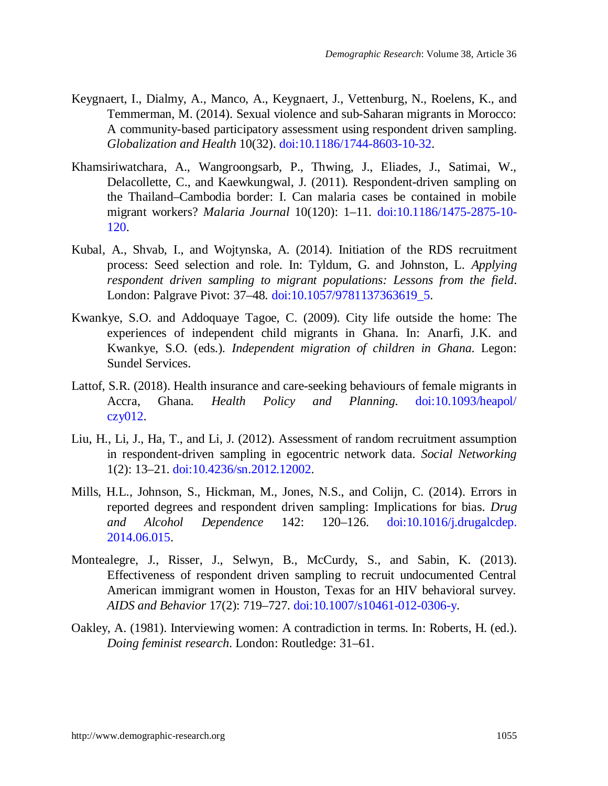- Keygnaert, I., Dialmy, A., Manco, A., Keygnaert, J., Vettenburg, N., Roelens, K., and Temmerman, M. (2014). Sexual violence and sub-Saharan migrants in Morocco: A community-based participatory assessment using respondent driven sampling. *Globalization and Health* 10(32). [doi:10.1186/1744-8603-10-32.](https://doi.org/10.1186/1744-8603-10-32)
- Khamsiriwatchara, A., Wangroongsarb, P., Thwing, J., Eliades, J., Satimai, W., Delacollette, C., and Kaewkungwal, J. (2011). Respondent-driven sampling on the Thailand–Cambodia border: I. Can malaria cases be contained in mobile migrant workers? *Malaria Journal* 10(120): 1–11. [doi:10.1186/1475-2875-10-](https://doi.org/10.1186/1475-2875-10-120) [120.](https://doi.org/10.1186/1475-2875-10-120)
- Kubal, A., Shvab, I., and Wojtynska, A. (2014). Initiation of the RDS recruitment process: Seed selection and role. In: Tyldum, G. and Johnston, L. *Applying respondent driven sampling to migrant populations: Lessons from the field*. London: Palgrave Pivot: 37–48. [doi:10.1057/9781137363619\\_5.](https://doi.org/10.1057/9781137363619_5)
- Kwankye, S.O. and Addoquaye Tagoe, C. (2009). City life outside the home: The experiences of independent child migrants in Ghana. In: Anarfi, J.K. and Kwankye, S.O. (eds.). *Independent migration of children in Ghana*. Legon: Sundel Services.
- Lattof, S.R. (2018). Health insurance and care-seeking behaviours of female migrants in Accra, Ghana. *Health Policy and Planning.* [doi:10.1093/heapol/](https://doi.org/10.1093/heapol/czy012) [czy012.](https://doi.org/10.1093/heapol/czy012)
- Liu, H., Li, J., Ha, T., and Li, J. (2012). Assessment of random recruitment assumption in respondent-driven sampling in egocentric network data. *Social Networking* 1(2): 13–21. [doi:10.4236/sn.2012.12002.](https://doi.org/10.4236/sn.2012.12002)
- Mills, H.L., Johnson, S., Hickman, M., Jones, N.S., and Colijn, C. (2014). Errors in reported degrees and respondent driven sampling: Implications for bias. *Drug and Alcohol Dependence* 142: 120–126. [doi:10.1016/j.drugalcdep.](https://doi.org/10.1016/j.drugalcdep.2014.06.015) [2014.06.015.](https://doi.org/10.1016/j.drugalcdep.2014.06.015)
- Montealegre, J., Risser, J., Selwyn, B., McCurdy, S., and Sabin, K. (2013). Effectiveness of respondent driven sampling to recruit undocumented Central American immigrant women in Houston, Texas for an HIV behavioral survey. *AIDS and Behavior* 17(2): 719–727. [doi:10.1007/s10461-012-0306-y.](https://doi.org/10.1007/s10461-012-0306-y)
- Oakley, A. (1981). Interviewing women: A contradiction in terms. In: Roberts, H. (ed.). *Doing feminist research*. London: Routledge: 31–61.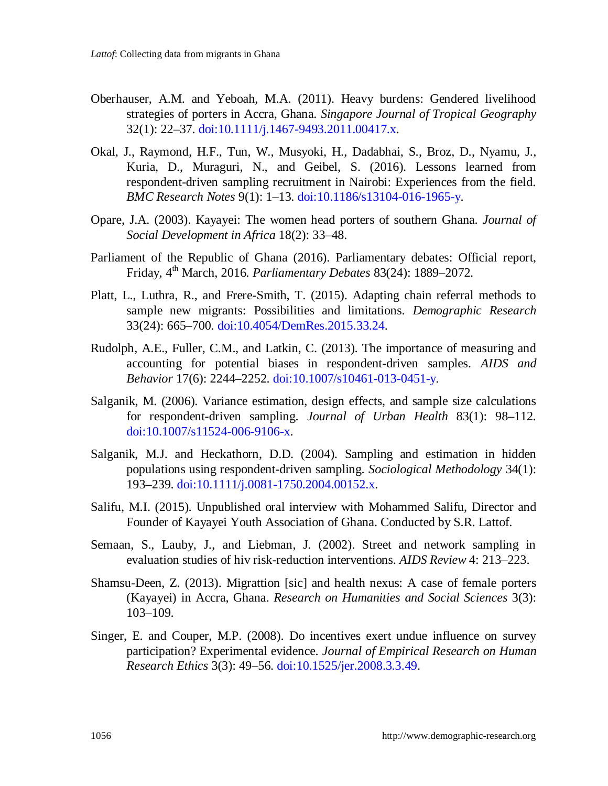- Oberhauser, A.M. and Yeboah, M.A. (2011). Heavy burdens: Gendered livelihood strategies of porters in Accra, Ghana. *Singapore Journal of Tropical Geography* 32(1): 22–37. [doi:10.1111/j.1467-9493.2011.00417.x.](https://doi.org/10.1111/j.1467-9493.2011.00417.x)
- Okal, J., Raymond, H.F., Tun, W., Musyoki, H., Dadabhai, S., Broz, D., Nyamu, J., Kuria, D., Muraguri, N., and Geibel, S. (2016). Lessons learned from respondent-driven sampling recruitment in Nairobi: Experiences from the field. *BMC Research Notes* 9(1): 1–13. [doi:10.1186/s13104-016-1965-y.](https://doi.org/10.1186/s13104-016-1965-y)
- Opare, J.A. (2003). Kayayei: The women head porters of southern Ghana. *Journal of Social Development in Africa* 18(2): 33–48.
- Parliament of the Republic of Ghana (2016). Parliamentary debates: Official report, Friday, 4th March, 2016. *Parliamentary Debates* 83(24): 1889–2072.
- Platt, L., Luthra, R., and Frere-Smith, T. (2015). Adapting chain referral methods to sample new migrants: Possibilities and limitations. *Demographic Research* 33(24): 665–700. [doi:10.4054/DemRes.2015.33.24.](https://doi.org/10.4054/DemRes.2015.33.24)
- Rudolph, A.E., Fuller, C.M., and Latkin, C. (2013). The importance of measuring and accounting for potential biases in respondent-driven samples. *AIDS and Behavior* 17(6): 2244–2252. [doi:10.1007/s10461-013-0451-y.](https://doi.org/10.1007/s10461-013-0451-y)
- Salganik, M. (2006). Variance estimation, design effects, and sample size calculations for respondent-driven sampling. *Journal of Urban Health* 83(1): 98–112. [doi:10.1007/s11524-006-9106-x.](https://doi.org/10.1007/s11524-006-9106-x)
- Salganik, M.J. and Heckathorn, D.D. (2004). Sampling and estimation in hidden populations using respondent-driven sampling. *Sociological Methodology* 34(1): 193–239. [doi:10.1111/j.0081-1750.2004.00152.x.](https://doi.org/10.1111/j.0081-1750.2004.00152.x)
- Salifu, M.I. (2015). Unpublished oral interview with Mohammed Salifu, Director and Founder of Kayayei Youth Association of Ghana. Conducted by S.R. Lattof.
- Semaan, S., Lauby, J., and Liebman, J. (2002). Street and network sampling in evaluation studies of hiv risk-reduction interventions. *AIDS Review* 4: 213–223.
- Shamsu-Deen, Z. (2013). Migrattion [sic] and health nexus: A case of female porters (Kayayei) in Accra, Ghana. *Research on Humanities and Social Sciences* 3(3): 103–109.
- Singer, E. and Couper, M.P. (2008). Do incentives exert undue influence on survey participation? Experimental evidence. *Journal of Empirical Research on Human Research Ethics* 3(3): 49–56. [doi:10.1525/jer.2008.3.3.49.](https://doi.org/10.1525/jer.2008.3.3.49)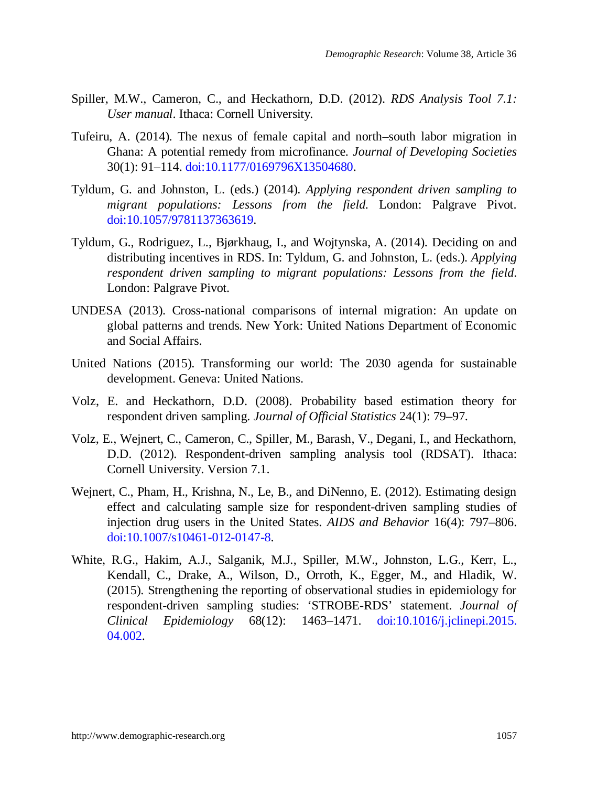- Spiller, M.W., Cameron, C., and Heckathorn, D.D. (2012). *RDS Analysis Tool 7.1: User manual*. Ithaca: Cornell University.
- Tufeiru, A. (2014). The nexus of female capital and north–south labor migration in Ghana: A potential remedy from microfinance. *Journal of Developing Societies* 30(1): 91–114. [doi:10.1177/0169796X13504680.](https://doi.org/10.1177/0169796X13504680)
- Tyldum, G. and Johnston, L. (eds.) (2014). *Applying respondent driven sampling to migrant populations: Lessons from the field*. London: Palgrave Pivot. [doi:10.1057/9781137363619.](https://doi.org/10.1057/9781137363619)
- Tyldum, G., Rodriguez, L., Bjørkhaug, I., and Wojtynska, A. (2014). Deciding on and distributing incentives in RDS. In: Tyldum, G. and Johnston, L. (eds.). *Applying respondent driven sampling to migrant populations: Lessons from the field*. London: Palgrave Pivot.
- UNDESA (2013). Cross-national comparisons of internal migration: An update on global patterns and trends. New York: United Nations Department of Economic and Social Affairs.
- United Nations (2015). Transforming our world: The 2030 agenda for sustainable development. Geneva: United Nations.
- Volz, E. and Heckathorn, D.D. (2008). Probability based estimation theory for respondent driven sampling. *Journal of Official Statistics* 24(1): 79–97.
- Volz, E., Wejnert, C., Cameron, C., Spiller, M., Barash, V., Degani, I., and Heckathorn, D.D. (2012). Respondent-driven sampling analysis tool (RDSAT). Ithaca: Cornell University. Version 7.1.
- Wejnert, C., Pham, H., Krishna, N., Le, B., and DiNenno, E. (2012). Estimating design effect and calculating sample size for respondent-driven sampling studies of injection drug users in the United States. *AIDS and Behavior* 16(4): 797–806. [doi:10.1007/s10461-012-0147-8.](https://doi.org/10.1007/s10461-012-0147-8)
- White, R.G., Hakim, A.J., Salganik, M.J., Spiller, M.W., Johnston, L.G., Kerr, L., Kendall, C., Drake, A., Wilson, D., Orroth, K., Egger, M., and Hladik, W. (2015). Strengthening the reporting of observational studies in epidemiology for respondent-driven sampling studies: 'STROBE-RDS' statement. *Journal of Clinical Epidemiology* 68(12): 1463–1471. [doi:10.1016/j.jclinepi.2015.](https://doi.org/10.1016/j.jclinepi.2015.04.002) [04.002.](https://doi.org/10.1016/j.jclinepi.2015.04.002)